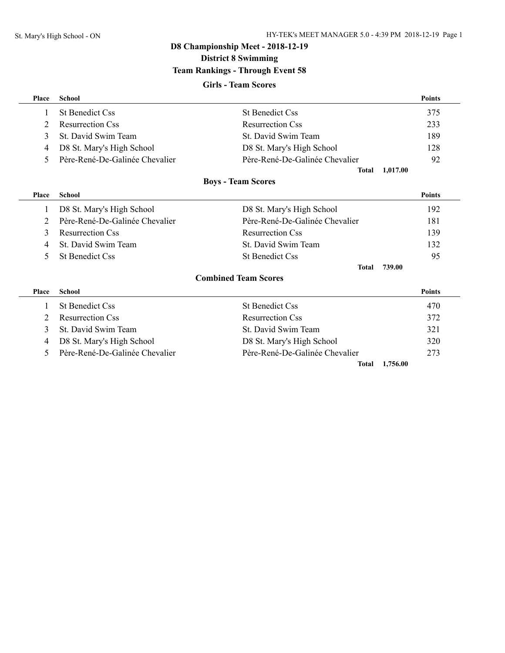**District 8 Swimming**

## **Team Rankings - Through Event 58**

### **Girls - Team Scores**

| Place        | <b>School</b>                  |                                | <b>Points</b> |
|--------------|--------------------------------|--------------------------------|---------------|
| 1            | <b>St Benedict Css</b>         | <b>St Benedict Css</b>         | 375           |
| 2            | <b>Resurrection Css</b>        | <b>Resurrection Css</b>        | 233           |
| 3            | St. David Swim Team            | St. David Swim Team            | 189           |
| 4            | D8 St. Mary's High School      | D8 St. Mary's High School      | 128           |
| 5.           | Père-René-De-Galinée Chevalier | Père-René-De-Galinée Chevalier | 92            |
|              |                                | <b>Total</b>                   | 1,017.00      |
|              |                                | <b>Boys - Team Scores</b>      |               |
| <b>Place</b> | <b>School</b>                  |                                | <b>Points</b> |
| $\mathbf{I}$ | D8 St. Mary's High School      | D8 St. Mary's High School      | 192           |
| 2            | Père-René-De-Galinée Chevalier | Père-René-De-Galinée Chevalier | 181           |
| 3            | <b>Resurrection Css</b>        | <b>Resurrection Css</b>        | 139           |
| 4            | St. David Swim Team            | St. David Swim Team            | 132           |
| 5.           | <b>St Benedict Css</b>         | <b>St Benedict Css</b>         | 95            |
|              |                                | <b>Total</b>                   | 739.00        |
|              |                                | <b>Combined Team Scores</b>    |               |
| Place        | <b>School</b>                  |                                | <b>Points</b> |
|              | <b>St Benedict Css</b>         | <b>St Benedict Css</b>         | 470           |
| 2            | <b>Resurrection Css</b>        | <b>Resurrection Css</b>        | 372           |
| 3            | St. David Swim Team            | St. David Swim Team            | 321           |
| 4            | D8 St. Mary's High School      | D8 St. Mary's High School      | 320           |
| 5            | Père-René-De-Galinée Chevalier | Père-René-De-Galinée Chevalier | 273           |
|              |                                | Total                          | 1,756.00      |
|              |                                |                                |               |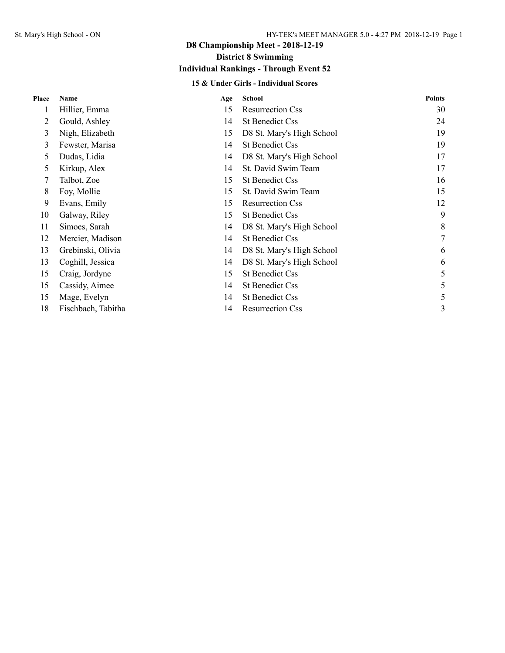**District 8 Swimming**

## **Individual Rankings - Through Event 52**

### **15 & Under Girls - Individual Scores**

| Place | <b>Name</b>        | Age | <b>School</b>             | <b>Points</b> |
|-------|--------------------|-----|---------------------------|---------------|
|       | Hillier, Emma      | 15  | <b>Resurrection Css</b>   | 30            |
| 2     | Gould, Ashley      | 14  | <b>St Benedict Css</b>    | 24            |
| 3     | Nigh, Elizabeth    | 15  | D8 St. Mary's High School | 19            |
| 3     | Fewster, Marisa    | 14  | <b>St Benedict Css</b>    | 19            |
| 5.    | Dudas, Lidia       | 14  | D8 St. Mary's High School | 17            |
| 5.    | Kirkup, Alex       | 14  | St. David Swim Team       | 17            |
|       | Talbot, Zoe        | 15  | <b>St Benedict Css</b>    | 16            |
| 8     | Foy, Mollie        | 15  | St. David Swim Team       | 15            |
| 9     | Evans, Emily       | 15  | <b>Resurrection Css</b>   | 12            |
| 10    | Galway, Riley      | 15  | <b>St Benedict Css</b>    | 9             |
| 11    | Simoes, Sarah      | 14  | D8 St. Mary's High School | 8             |
| 12    | Mercier, Madison   | 14  | <b>St Benedict Css</b>    |               |
| 13    | Grebinski, Olivia  | 14  | D8 St. Mary's High School | 6             |
| 13    | Coghill, Jessica   | 14  | D8 St. Mary's High School | 6             |
| 15    | Craig, Jordyne     | 15  | <b>St Benedict Css</b>    | 5             |
| 15    | Cassidy, Aimee     | 14  | <b>St Benedict Css</b>    | 5             |
| 15    | Mage, Evelyn       | 14  | <b>St Benedict Css</b>    | 5             |
| 18    | Fischbach, Tabitha | 14  | <b>Resurrection Css</b>   | 3             |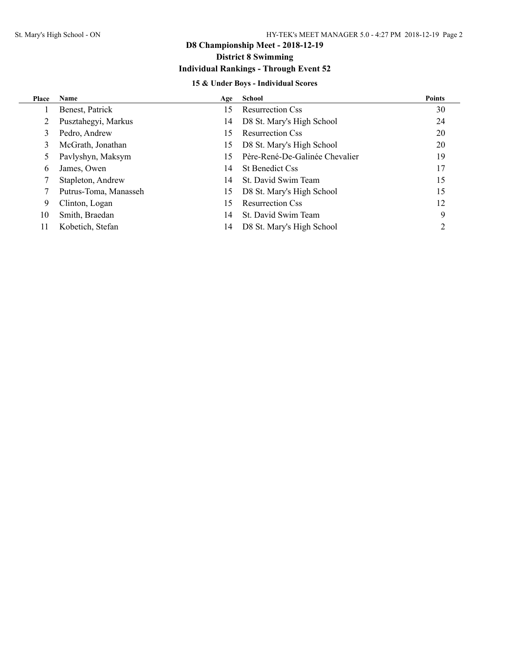## **District 8 Swimming**

## **Individual Rankings - Through Event 52**

## **15 & Under Boys - Individual Scores**

| Place | <b>Name</b>           | Age | School                         | <b>Points</b> |
|-------|-----------------------|-----|--------------------------------|---------------|
|       | Benest, Patrick       | 15  | <b>Resurrection Css</b>        | 30            |
|       | Pusztahegyi, Markus   | 14  | D8 St. Mary's High School      | 24            |
|       | Pedro, Andrew         | 15  | <b>Resurrection Css</b>        | 20            |
|       | McGrath, Jonathan     | 15  | D8 St. Mary's High School      | 20            |
|       | Pavlyshyn, Maksym     | 15  | Père-René-De-Galinée Chevalier | 19            |
| 6     | James, Owen           | 14  | <b>St Benedict Css</b>         | 17            |
|       | Stapleton, Andrew     | 14  | St. David Swim Team            | 15            |
|       | Putrus-Toma, Manasseh | 15  | D8 St. Mary's High School      | 15            |
| 9     | Clinton, Logan        | 15  | <b>Resurrection Css</b>        | 12            |
| 10    | Smith, Braedan        | 14  | St. David Swim Team            | 9             |
| 11    | Kobetich, Stefan      | 14  | D8 St. Mary's High School      |               |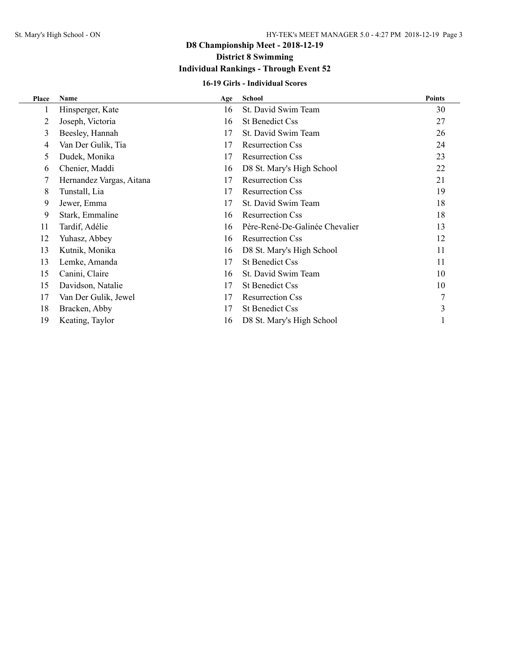## **District 8 Swimming**

## **Individual Rankings - Through Event 52**

### **16-19 Girls - Individual Scores**

| Place | <b>Name</b>              | Age | <b>School</b>                  | <b>Points</b> |
|-------|--------------------------|-----|--------------------------------|---------------|
| 1     | Hinsperger, Kate         | 16  | St. David Swim Team            | 30            |
| 2     | Joseph, Victoria         | 16  | <b>St Benedict Css</b>         | 27            |
| 3     | Beesley, Hannah          | 17  | St. David Swim Team            | 26            |
| 4     | Van Der Gulik, Tia       | 17  | <b>Resurrection Css</b>        | 24            |
| 5     | Dudek, Monika            | 17  | <b>Resurrection Css</b>        | 23            |
| 6     | Chenier, Maddi           | 16  | D8 St. Mary's High School      | 22            |
|       | Hernandez Vargas, Aitana | 17  | <b>Resurrection Css</b>        | 21            |
| 8     | Tunstall, Lia            | 17  | <b>Resurrection Css</b>        | 19            |
| 9     | Jewer, Emma              | 17  | St. David Swim Team            | 18            |
| 9     | Stark, Emmaline          | 16  | <b>Resurrection Css</b>        | 18            |
| 11    | Tardif, Adélie           | 16  | Père-René-De-Galinée Chevalier | 13            |
| 12    | Yuhasz, Abbey            | 16  | <b>Resurrection Css</b>        | 12            |
| 13    | Kutnik, Monika           | 16  | D8 St. Mary's High School      | 11            |
| 13    | Lemke, Amanda            | 17  | <b>St Benedict Css</b>         | 11            |
| 15    | Canini, Claire           | 16  | St. David Swim Team            | 10            |
| 15    | Davidson, Natalie        | 17  | <b>St Benedict Css</b>         | 10            |
| 17    | Van Der Gulik, Jewel     | 17  | <b>Resurrection Css</b>        |               |
| 18    | Bracken, Abby            | 17  | <b>St Benedict Css</b>         | 3             |
| 19    | Keating, Taylor          | 16  | D8 St. Mary's High School      |               |
|       |                          |     |                                |               |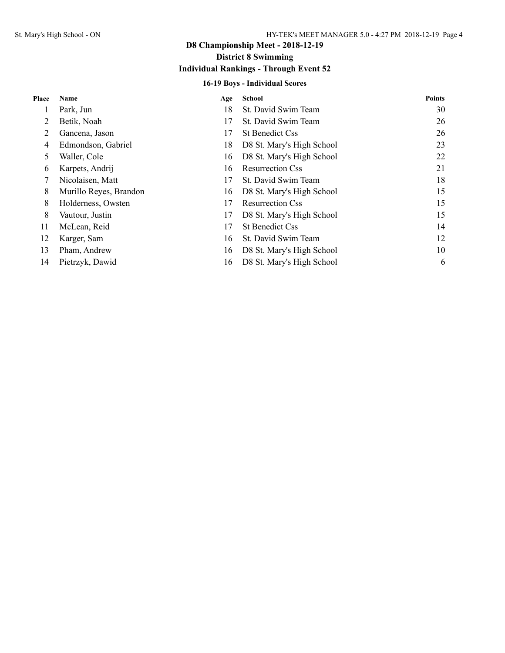## **District 8 Swimming**

## **Individual Rankings - Through Event 52**

## **16-19 Boys - Individual Scores**

| Place | <b>Name</b>            | Age | <b>School</b>             | <b>Points</b> |
|-------|------------------------|-----|---------------------------|---------------|
|       | Park, Jun              | 18  | St. David Swim Team       | 30            |
|       | Betik, Noah            | 17  | St. David Swim Team       | 26            |
|       | Gancena, Jason         | 17  | <b>St Benedict Css</b>    | 26            |
| 4     | Edmondson, Gabriel     | 18  | D8 St. Mary's High School | 23            |
| 5     | Waller, Cole           | 16  | D8 St. Mary's High School | 22            |
| 6     | Karpets, Andrij        | 16  | <b>Resurrection Css</b>   | 21            |
|       | Nicolaisen, Matt       | 17  | St. David Swim Team       | 18            |
| 8     | Murillo Reyes, Brandon | 16  | D8 St. Mary's High School | 15            |
| 8     | Holderness, Owsten     | 17  | <b>Resurrection Css</b>   | 15            |
| 8     | Vautour, Justin        | 17  | D8 St. Mary's High School | 15            |
| 11    | McLean, Reid           | 17  | <b>St Benedict Css</b>    | 14            |
| 12    | Karger, Sam            | 16  | St. David Swim Team       | 12            |
| 13    | Pham, Andrew           | 16  | D8 St. Mary's High School | 10            |
| 14    | Pietrzyk, Dawid        | 16  | D8 St. Mary's High School | 6             |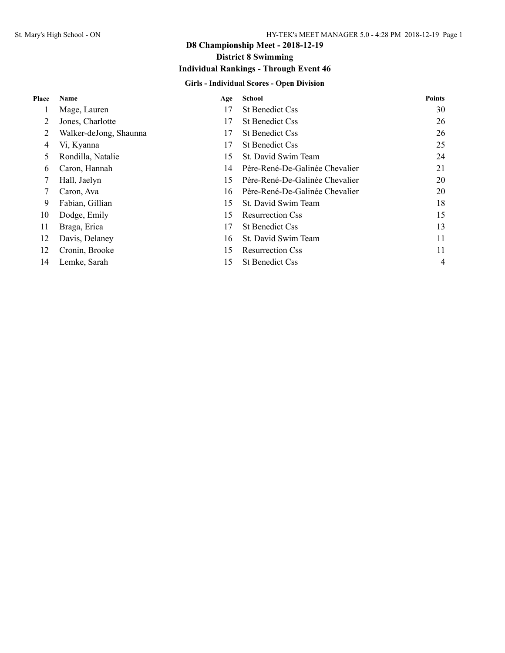## **District 8 Swimming**

## **Individual Rankings - Through Event 46**

## **Girls - Individual Scores - Open Division**

| Place | <b>Name</b>            | Age | <b>School</b>                  | <b>Points</b> |
|-------|------------------------|-----|--------------------------------|---------------|
|       | Mage, Lauren           | 17  | <b>St Benedict Css</b>         | 30            |
| 2     | Jones, Charlotte       | 17  | <b>St Benedict Css</b>         | 26            |
| 2     | Walker-deJong, Shaunna | 17  | <b>St Benedict Css</b>         | 26            |
| 4     | Vi, Kyanna             | 17  | <b>St Benedict Css</b>         | 25            |
| 5.    | Rondilla, Natalie      | 15  | St. David Swim Team            | 24            |
| 6     | Caron, Hannah          | 14  | Père-René-De-Galinée Chevalier | 21            |
|       | Hall, Jaelyn           | 15  | Père-René-De-Galinée Chevalier | 20            |
|       | Caron, Ava             | 16  | Père-René-De-Galinée Chevalier | 20            |
| 9     | Fabian, Gillian        | 15  | St. David Swim Team            | 18            |
| 10    | Dodge, Emily           | 15  | <b>Resurrection Css</b>        | 15            |
| 11    | Braga, Erica           | 17  | <b>St Benedict Css</b>         | 13            |
| 12    | Davis, Delaney         | 16  | St. David Swim Team            | 11            |
| 12    | Cronin, Brooke         | 15  | <b>Resurrection Css</b>        | 11            |
| 14    | Lemke, Sarah           | 15  | <b>St Benedict Css</b>         | 4             |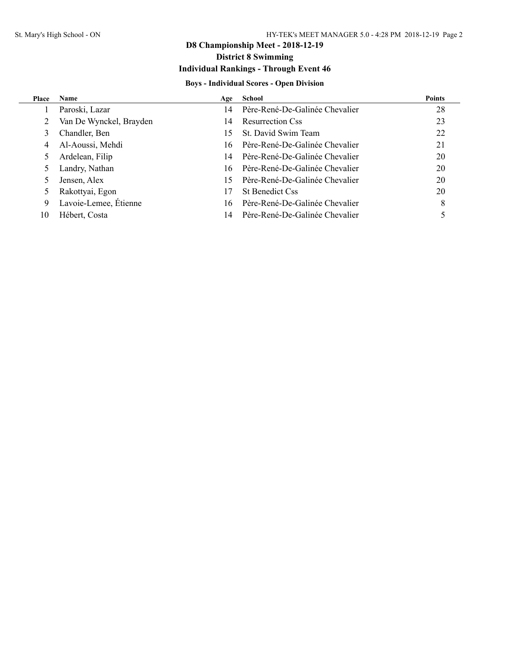## **D8 Championship Meet - 2018-12-19 District 8 Swimming**

## **Individual Rankings - Through Event 46**

#### **Boys - Individual Scores - Open Division**

| <b>Place</b> | <b>Name</b>             | Age | School                         | <b>Points</b> |
|--------------|-------------------------|-----|--------------------------------|---------------|
|              | Paroski, Lazar          | 14  | Père-René-De-Galinée Chevalier | 28            |
| 2            | Van De Wynckel, Brayden | 14  | <b>Resurrection Css</b>        | 23            |
| 3            | Chandler, Ben           | 15  | St. David Swim Team            | 22            |
| 4            | Al-Aoussi, Mehdi        | 16  | Père-René-De-Galinée Chevalier | 21            |
| 5            | Ardelean, Filip         | 14  | Père-René-De-Galinée Chevalier | 20            |
|              | Landry, Nathan          | 16  | Père-René-De-Galinée Chevalier | 20            |
|              | Jensen, Alex            | 15  | Père-René-De-Galinée Chevalier | 20            |
|              | Rakottyai, Egon         | 17  | <b>St Benedict Css</b>         | 20            |
| 9            | Lavoie-Lemee, Étienne   | 16  | Père-René-De-Galinée Chevalier | 8             |
| 10           | Hébert, Costa           | 14  | Père-René-De-Galinée Chevalier |               |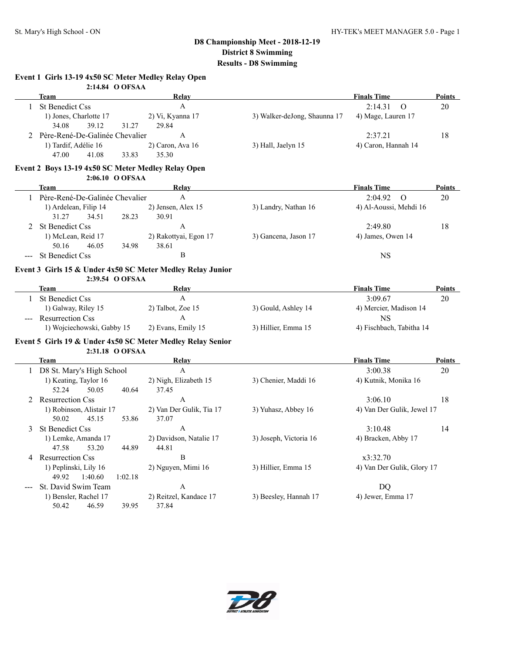| Event 1 Girls 13-19 4x50 SC Meter Medley Relay Open |  |  |  |  |  |  |  |  |  |
|-----------------------------------------------------|--|--|--|--|--|--|--|--|--|
|-----------------------------------------------------|--|--|--|--|--|--|--|--|--|

|              | 2:14.84 O OFSAA                                    |                                                            |                              |                            |               |
|--------------|----------------------------------------------------|------------------------------------------------------------|------------------------------|----------------------------|---------------|
|              | <b>Team</b>                                        | Relay                                                      |                              | <b>Finals Time</b>         | <b>Points</b> |
| $\mathbf{1}$ | <b>St Benedict Css</b>                             | $\mathbf{A}$                                               |                              | $\mathbf O$<br>2:14.31     | 20            |
|              | 1) Jones, Charlotte 17                             | 2) Vi, Kyanna 17                                           | 3) Walker-deJong, Shaunna 17 | 4) Mage, Lauren 17         |               |
|              | 39.12<br>34.08<br>31.27                            | 29.84                                                      |                              |                            |               |
|              | 2 Père-René-De-Galinée Chevalier                   | A                                                          |                              | 2:37.21                    | 18            |
|              | 1) Tardif, Adélie 16                               | 2) Caron, Ava 16                                           | 3) Hall, Jaelyn 15           | 4) Caron, Hannah 14        |               |
|              | 47.00<br>41.08<br>33.83                            | 35.30                                                      |                              |                            |               |
|              | Event 2 Boys 13-19 4x50 SC Meter Medley Relay Open |                                                            |                              |                            |               |
|              | 2:06.10 O OFSAA                                    |                                                            |                              |                            |               |
|              | <b>Team</b>                                        | Relay                                                      |                              | <b>Finals Time</b>         | <b>Points</b> |
|              | 1 Père-René-De-Galinée Chevalier                   | A                                                          |                              | 2:04.92<br>$\Omega$        | 20            |
|              | 1) Ardelean, Filip 14                              | 2) Jensen, Alex 15                                         | 3) Landry, Nathan 16         | 4) Al-Aoussi, Mehdi 16     |               |
|              | 31.27<br>34.51<br>28.23                            | 30.91                                                      |                              |                            |               |
| 2            | <b>St Benedict Css</b>                             | A                                                          |                              | 2:49.80                    | 18            |
|              | 1) McLean, Reid 17                                 | 2) Rakottyai, Egon 17                                      | 3) Gancena, Jason 17         | 4) James, Owen 14          |               |
|              | 50.16<br>46.05<br>34.98                            | 38.61                                                      |                              |                            |               |
| ---          | <b>St Benedict Css</b>                             | $\, {\bf B}$                                               |                              | <b>NS</b>                  |               |
|              |                                                    | Event 3 Girls 15 & Under 4x50 SC Meter Medley Relay Junior |                              |                            |               |
|              | 2:39.54 O OFSAA                                    |                                                            |                              |                            |               |
|              | <b>Team</b>                                        | <b>Relay</b>                                               |                              | <b>Finals Time</b>         | <b>Points</b> |
|              | 1 St Benedict Css                                  | $\boldsymbol{\mathsf{A}}$                                  |                              | 3:09.67                    | 20            |
|              | 1) Galway, Riley 15                                | 2) Talbot, Zoe 15                                          | 3) Gould, Ashley 14          | 4) Mercier, Madison 14     |               |
|              | --- Resurrection Css                               | $\mathsf{A}$                                               |                              | <b>NS</b>                  |               |
|              | 1) Wojciechowski, Gabby 15                         | 2) Evans, Emily 15                                         | 3) Hillier, Emma 15          | 4) Fischbach, Tabitha 14   |               |
|              |                                                    | Event 5 Girls 19 & Under 4x50 SC Meter Medley Relay Senior |                              |                            |               |
|              | 2:31.18 O OFSAA                                    |                                                            |                              |                            |               |
|              | Team                                               | Relay                                                      |                              | <b>Finals Time</b>         | <b>Points</b> |
|              | 1 D8 St. Mary's High School                        | $\mathbf{A}$                                               |                              | 3:00.38                    | 20            |
|              | 1) Keating, Taylor 16                              | 2) Nigh, Elizabeth 15                                      | 3) Chenier, Maddi 16         | 4) Kutnik, Monika 16       |               |
|              | 52.24<br>50.05<br>40.64                            | 37.45                                                      |                              |                            |               |
| 2            | <b>Resurrection Css</b>                            | A                                                          |                              | 3:06.10                    | 18            |
|              | 1) Robinson, Alistair 17                           | 2) Van Der Gulik, Tia 17                                   | 3) Yuhasz, Abbey 16          | 4) Van Der Gulik, Jewel 17 |               |
|              | 50.02<br>45.15<br>53.86                            | 37.07                                                      |                              |                            |               |
| 3            | St Benedict Css                                    | $\mathbf{A}$                                               |                              | 3:10.48                    | 14            |
|              | 1) Lemke, Amanda 17                                | 2) Davidson, Natalie 17                                    | 3) Joseph, Victoria 16       | 4) Bracken, Abby 17        |               |
|              | 47.58<br>53.20<br>44.89                            | 44.81                                                      |                              |                            |               |
|              | 4 Resurrection Css                                 | B                                                          |                              | x3:32.70                   |               |
|              | 1) Peplinski, Lily 16                              | 2) Nguyen, Mimi 16                                         | 3) Hillier, Emma 15          | 4) Van Der Gulik, Glory 17 |               |
|              | 49.92<br>1:40.60<br>1:02.18                        |                                                            |                              |                            |               |
|              | St. David Swim Team                                | $\mathbf{A}$                                               |                              | DQ                         |               |
|              | 1) Bensler, Rachel 17                              | 2) Reitzel, Kandace 17                                     | 3) Beesley, Hannah 17        | 4) Jewer, Emma 17          |               |
|              | 39.95<br>50.42<br>46.59                            | 37.84                                                      |                              |                            |               |

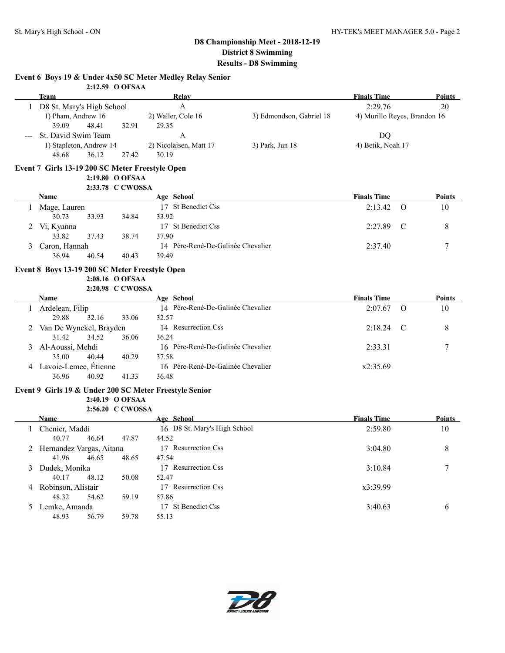#### **Event 6 Boys 19 & Under 4x50 SC Meter Medley Relay Senior**

|   |                                                        | 2:12.59 O OFSAA  |                                   |                          |                              |               |               |
|---|--------------------------------------------------------|------------------|-----------------------------------|--------------------------|------------------------------|---------------|---------------|
|   | Team                                                   |                  | Relay                             |                          | <b>Finals Time</b>           |               | Points        |
|   | 1 D8 St. Mary's High School                            |                  | $\mathbf{A}$                      |                          | 2:29.76                      |               | 20            |
|   | 1) Pham, Andrew 16                                     |                  | 2) Waller, Cole 16                | 3) Edmondson, Gabriel 18 | 4) Murillo Reyes, Brandon 16 |               |               |
|   | 39.09<br>48.41                                         | 32.91            | 29.35                             |                          |                              |               |               |
|   | St. David Swim Team                                    |                  | $\mathbf{A}$                      |                          | DQ                           |               |               |
|   | 1) Stapleton, Andrew 14                                |                  | 2) Nicolaisen, Matt 17            | 3) Park, Jun 18          | 4) Betik, Noah 17            |               |               |
|   | 48.68<br>36.12                                         | 27.42            | 30.19                             |                          |                              |               |               |
|   | Event 7 Girls 13-19 200 SC Meter Freestyle Open        |                  |                                   |                          |                              |               |               |
|   |                                                        | 2:19.80 O OFSAA  |                                   |                          |                              |               |               |
|   |                                                        | 2:33.78 C CWOSSA |                                   |                          |                              |               |               |
|   | <b>Name</b>                                            |                  | Age School                        |                          | <b>Finals Time</b>           |               | Points        |
|   | 1 Mage, Lauren                                         |                  | 17 St Benedict Css                |                          | 2:13.42                      | $\Omega$      | 10            |
|   | 30.73<br>33.93                                         | 34.84            | 33.92                             |                          |                              |               |               |
|   | 2 Vi, Kyanna                                           |                  | 17 St Benedict Css                |                          | 2:27.89                      | $\mathcal{C}$ | 8             |
|   | 33.82<br>37.43                                         | 38.74            | 37.90                             |                          |                              |               |               |
|   | Caron, Hannah                                          |                  | 14 Père-René-De-Galinée Chevalier |                          | 2:37.40                      |               | 7             |
|   | 36.94<br>40.54                                         | 40.43            | 39.49                             |                          |                              |               |               |
|   | Event 8 Boys 13-19 200 SC Meter Freestyle Open         |                  |                                   |                          |                              |               |               |
|   |                                                        | 2:08.16 O OFSAA  |                                   |                          |                              |               |               |
|   |                                                        | 2:20.98 C CWOSSA |                                   |                          |                              |               |               |
|   | <b>Name</b>                                            |                  | Age School                        |                          | <b>Finals Time</b>           |               | Points        |
|   | Ardelean, Filip                                        |                  | 14 Père-René-De-Galinée Chevalier |                          | 2:07.67                      | $\Omega$      | 10            |
|   | 29.88<br>32.16                                         | 33.06            | 32.57                             |                          |                              |               |               |
|   | Van De Wynckel, Brayden                                |                  | 14 Resurrection Css               |                          | 2:18.24                      | C             | 8             |
|   | 31.42<br>34.52                                         | 36.06            | 36.24                             |                          |                              |               |               |
| 3 | Al-Aoussi, Mehdi                                       |                  | 16 Père-René-De-Galinée Chevalier |                          | 2:33.31                      |               | 7             |
|   | 35.00<br>40.44                                         | 40.29            | 37.58                             |                          |                              |               |               |
|   | 4 Lavoie-Lemee, Étienne                                |                  | 16 Père-René-De-Galinée Chevalier |                          | x2:35.69                     |               |               |
|   | 36.96<br>40.92                                         | 41.33            | 36.48                             |                          |                              |               |               |
|   | Event 9 Girls 19 & Under 200 SC Meter Freestyle Senior |                  |                                   |                          |                              |               |               |
|   |                                                        | 2:40.19 O OFSAA  |                                   |                          |                              |               |               |
|   |                                                        | 2:56.20 C CWOSSA |                                   |                          |                              |               |               |
|   | Name                                                   |                  | Age School                        |                          | <b>Finals Time</b>           |               | <b>Points</b> |
|   | 1 Chenier, Maddi                                       |                  | 16 D8 St. Mary's High School      |                          | 2:59.80                      |               | 10            |
|   | 40.77<br>46.64                                         | 47.87            | 44.52                             |                          |                              |               |               |
|   | 2 Hernandez Vargas, Aitana                             |                  | 17 Resurrection Css               |                          | 3:04.80                      |               | 8             |
|   | 41.96<br>46.65                                         | 48.65            | 47.54                             |                          |                              |               |               |
| 3 | Dudek, Monika                                          |                  | 17 Resurrection Css               |                          | 3:10.84                      |               | 7             |
|   | 40.17<br>48.12                                         | 50.08            | 52.47                             |                          |                              |               |               |
|   | 4 Robinson, Alistair                                   |                  | 17 Resurrection Css               |                          | x3:39.99                     |               |               |
|   | 48.32<br>54.62                                         | 59.19            | 57.86                             |                          |                              |               |               |
|   | 5 Lemke, Amanda                                        |                  | 17 St Benedict Css                |                          | 3:40.63                      |               | 6             |
|   | 48.93<br>56.79                                         | 59.78            | 55.13                             |                          |                              |               |               |

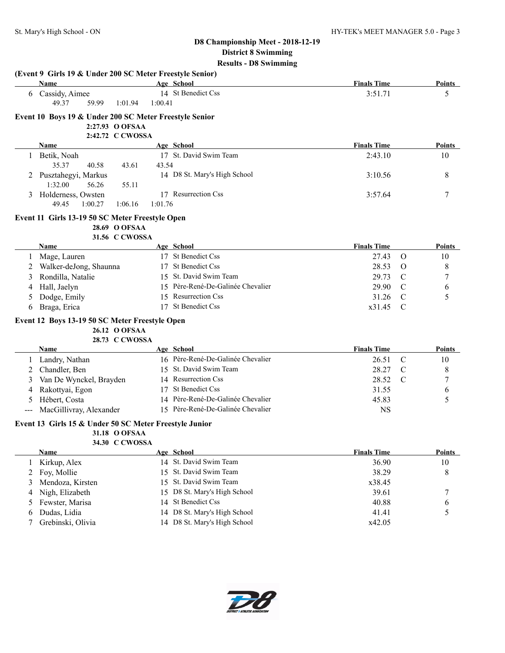| <b>Name</b><br>Age School<br><b>Finals Time</b><br><b>Points</b><br>14 St Benedict Css<br>6 Cassidy, Aimee<br>3:51.71<br>5<br>49.37<br>59.99<br>1:01.94<br>1:00.41<br>Event 10 Boys 19 & Under 200 SC Meter Freestyle Senior<br>2:27.93 O OFSAA<br>2:42.72 C CWOSSA<br>Age School<br><b>Finals Time</b><br>Name<br><b>Points</b><br>17 St. David Swim Team<br>1 Betik, Noah<br>2:43.10<br>10<br>35.37<br>40.58<br>43.61<br>43.54<br>2 Pusztahegyi, Markus<br>14 D8 St. Mary's High School<br>3:10.56<br>8<br>1:32.00<br>56.26<br>55.11<br>17 Resurrection Css<br>7<br>3 Holderness, Owsten<br>3:57.64<br>49.45<br>1:00.27<br>1:06.16<br>1:01.76<br>Event 11 Girls 13-19 50 SC Meter Freestyle Open<br>28.69 O OFSAA<br>31.56 C CWOSSA<br>Age School<br><b>Finals Time</b><br>Points<br>Name<br>17 St Benedict Css<br>Mage, Lauren<br>27.43<br>$\Omega$<br>10<br>1<br>17 St Benedict Css<br>8<br>Walker-deJong, Shaunna<br>28.53<br>O<br>15 St. David Swim Team<br>$\boldsymbol{7}$<br>Rondilla, Natalie<br>29.73<br>$\mathcal{C}$<br>3<br>15 Père-René-De-Galinée Chevalier<br>Hall, Jaelyn<br>29.90<br>$\mathcal{C}$<br>6<br>4<br>15 Resurrection Css<br>5<br>Dodge, Emily<br>31.26<br>C<br>17 St Benedict Css<br>Braga, Erica<br>x31.45<br>C<br>6<br>Event 12 Boys 13-19 50 SC Meter Freestyle Open<br>26.12 O OFSAA<br>28.73 C CWOSSA<br>Age School<br><b>Finals Time</b><br>Points<br>Name<br>16 Père-René-De-Galinée Chevalier<br>Landry, Nathan<br>26.51<br>$\mathcal{C}$<br>10<br>$\perp$<br>Chandler, Ben<br>15 St. David Swim Team<br>28.27<br>8<br>$\mathcal{C}$<br>14 Resurrection Css<br>Van De Wynckel, Brayden<br>28.52<br>7<br>$\mathcal{C}$<br>3<br>17 St Benedict Css<br>Rakottyai, Egon<br>31.55<br>6<br>4<br>14 Père-René-De-Galinée Chevalier<br>5<br>Hébert, Costa<br>45.83<br>5<br>MacGillivray, Alexander<br>15 Père-René-De-Galinée Chevalier<br><b>NS</b><br>Event 13 Girls 15 & Under 50 SC Meter Freestyle Junior<br>31.18 O OFSAA<br>34.30 C CWOSSA<br>Age School<br><b>Finals Time</b><br><b>Points</b><br>Name<br>14 St. David Swim Team<br>Kirkup, Alex<br>36.90<br>10<br>1<br>St. David Swim Team<br>Foy, Mollie<br>38.29<br>2<br>15<br>8<br>St. David Swim Team<br>Mendoza, Kirsten<br>x38.45<br>3<br>15<br>D8 St. Mary's High School<br>Nigh, Elizabeth<br>39.61<br>7<br>15<br>4<br><b>St Benedict Css</b><br>Fewster, Marisa<br>40.88<br>5<br>14<br>6<br>D8 St. Mary's High School<br>5<br>Dudas, Lidia<br>41.41<br>14<br>6 |   | (Event 9 Girls 19 & Under 200 SC Meter Freestyle Senior) |                              |        |  |
|----------------------------------------------------------------------------------------------------------------------------------------------------------------------------------------------------------------------------------------------------------------------------------------------------------------------------------------------------------------------------------------------------------------------------------------------------------------------------------------------------------------------------------------------------------------------------------------------------------------------------------------------------------------------------------------------------------------------------------------------------------------------------------------------------------------------------------------------------------------------------------------------------------------------------------------------------------------------------------------------------------------------------------------------------------------------------------------------------------------------------------------------------------------------------------------------------------------------------------------------------------------------------------------------------------------------------------------------------------------------------------------------------------------------------------------------------------------------------------------------------------------------------------------------------------------------------------------------------------------------------------------------------------------------------------------------------------------------------------------------------------------------------------------------------------------------------------------------------------------------------------------------------------------------------------------------------------------------------------------------------------------------------------------------------------------------------------------------------------------------------------------------------------------------------------------------------------------------------------------------------------------------------------------------------------------------------------------------------------------------------------------------------------------------------------------------------------------|---|----------------------------------------------------------|------------------------------|--------|--|
|                                                                                                                                                                                                                                                                                                                                                                                                                                                                                                                                                                                                                                                                                                                                                                                                                                                                                                                                                                                                                                                                                                                                                                                                                                                                                                                                                                                                                                                                                                                                                                                                                                                                                                                                                                                                                                                                                                                                                                                                                                                                                                                                                                                                                                                                                                                                                                                                                                                                |   |                                                          |                              |        |  |
|                                                                                                                                                                                                                                                                                                                                                                                                                                                                                                                                                                                                                                                                                                                                                                                                                                                                                                                                                                                                                                                                                                                                                                                                                                                                                                                                                                                                                                                                                                                                                                                                                                                                                                                                                                                                                                                                                                                                                                                                                                                                                                                                                                                                                                                                                                                                                                                                                                                                |   |                                                          |                              |        |  |
|                                                                                                                                                                                                                                                                                                                                                                                                                                                                                                                                                                                                                                                                                                                                                                                                                                                                                                                                                                                                                                                                                                                                                                                                                                                                                                                                                                                                                                                                                                                                                                                                                                                                                                                                                                                                                                                                                                                                                                                                                                                                                                                                                                                                                                                                                                                                                                                                                                                                |   |                                                          |                              |        |  |
|                                                                                                                                                                                                                                                                                                                                                                                                                                                                                                                                                                                                                                                                                                                                                                                                                                                                                                                                                                                                                                                                                                                                                                                                                                                                                                                                                                                                                                                                                                                                                                                                                                                                                                                                                                                                                                                                                                                                                                                                                                                                                                                                                                                                                                                                                                                                                                                                                                                                |   |                                                          |                              |        |  |
|                                                                                                                                                                                                                                                                                                                                                                                                                                                                                                                                                                                                                                                                                                                                                                                                                                                                                                                                                                                                                                                                                                                                                                                                                                                                                                                                                                                                                                                                                                                                                                                                                                                                                                                                                                                                                                                                                                                                                                                                                                                                                                                                                                                                                                                                                                                                                                                                                                                                |   |                                                          |                              |        |  |
|                                                                                                                                                                                                                                                                                                                                                                                                                                                                                                                                                                                                                                                                                                                                                                                                                                                                                                                                                                                                                                                                                                                                                                                                                                                                                                                                                                                                                                                                                                                                                                                                                                                                                                                                                                                                                                                                                                                                                                                                                                                                                                                                                                                                                                                                                                                                                                                                                                                                |   |                                                          |                              |        |  |
|                                                                                                                                                                                                                                                                                                                                                                                                                                                                                                                                                                                                                                                                                                                                                                                                                                                                                                                                                                                                                                                                                                                                                                                                                                                                                                                                                                                                                                                                                                                                                                                                                                                                                                                                                                                                                                                                                                                                                                                                                                                                                                                                                                                                                                                                                                                                                                                                                                                                |   |                                                          |                              |        |  |
|                                                                                                                                                                                                                                                                                                                                                                                                                                                                                                                                                                                                                                                                                                                                                                                                                                                                                                                                                                                                                                                                                                                                                                                                                                                                                                                                                                                                                                                                                                                                                                                                                                                                                                                                                                                                                                                                                                                                                                                                                                                                                                                                                                                                                                                                                                                                                                                                                                                                |   |                                                          |                              |        |  |
|                                                                                                                                                                                                                                                                                                                                                                                                                                                                                                                                                                                                                                                                                                                                                                                                                                                                                                                                                                                                                                                                                                                                                                                                                                                                                                                                                                                                                                                                                                                                                                                                                                                                                                                                                                                                                                                                                                                                                                                                                                                                                                                                                                                                                                                                                                                                                                                                                                                                |   |                                                          |                              |        |  |
|                                                                                                                                                                                                                                                                                                                                                                                                                                                                                                                                                                                                                                                                                                                                                                                                                                                                                                                                                                                                                                                                                                                                                                                                                                                                                                                                                                                                                                                                                                                                                                                                                                                                                                                                                                                                                                                                                                                                                                                                                                                                                                                                                                                                                                                                                                                                                                                                                                                                |   |                                                          |                              |        |  |
|                                                                                                                                                                                                                                                                                                                                                                                                                                                                                                                                                                                                                                                                                                                                                                                                                                                                                                                                                                                                                                                                                                                                                                                                                                                                                                                                                                                                                                                                                                                                                                                                                                                                                                                                                                                                                                                                                                                                                                                                                                                                                                                                                                                                                                                                                                                                                                                                                                                                |   |                                                          |                              |        |  |
|                                                                                                                                                                                                                                                                                                                                                                                                                                                                                                                                                                                                                                                                                                                                                                                                                                                                                                                                                                                                                                                                                                                                                                                                                                                                                                                                                                                                                                                                                                                                                                                                                                                                                                                                                                                                                                                                                                                                                                                                                                                                                                                                                                                                                                                                                                                                                                                                                                                                |   |                                                          |                              |        |  |
|                                                                                                                                                                                                                                                                                                                                                                                                                                                                                                                                                                                                                                                                                                                                                                                                                                                                                                                                                                                                                                                                                                                                                                                                                                                                                                                                                                                                                                                                                                                                                                                                                                                                                                                                                                                                                                                                                                                                                                                                                                                                                                                                                                                                                                                                                                                                                                                                                                                                |   |                                                          |                              |        |  |
|                                                                                                                                                                                                                                                                                                                                                                                                                                                                                                                                                                                                                                                                                                                                                                                                                                                                                                                                                                                                                                                                                                                                                                                                                                                                                                                                                                                                                                                                                                                                                                                                                                                                                                                                                                                                                                                                                                                                                                                                                                                                                                                                                                                                                                                                                                                                                                                                                                                                |   |                                                          |                              |        |  |
|                                                                                                                                                                                                                                                                                                                                                                                                                                                                                                                                                                                                                                                                                                                                                                                                                                                                                                                                                                                                                                                                                                                                                                                                                                                                                                                                                                                                                                                                                                                                                                                                                                                                                                                                                                                                                                                                                                                                                                                                                                                                                                                                                                                                                                                                                                                                                                                                                                                                |   |                                                          |                              |        |  |
|                                                                                                                                                                                                                                                                                                                                                                                                                                                                                                                                                                                                                                                                                                                                                                                                                                                                                                                                                                                                                                                                                                                                                                                                                                                                                                                                                                                                                                                                                                                                                                                                                                                                                                                                                                                                                                                                                                                                                                                                                                                                                                                                                                                                                                                                                                                                                                                                                                                                |   |                                                          |                              |        |  |
|                                                                                                                                                                                                                                                                                                                                                                                                                                                                                                                                                                                                                                                                                                                                                                                                                                                                                                                                                                                                                                                                                                                                                                                                                                                                                                                                                                                                                                                                                                                                                                                                                                                                                                                                                                                                                                                                                                                                                                                                                                                                                                                                                                                                                                                                                                                                                                                                                                                                |   |                                                          |                              |        |  |
|                                                                                                                                                                                                                                                                                                                                                                                                                                                                                                                                                                                                                                                                                                                                                                                                                                                                                                                                                                                                                                                                                                                                                                                                                                                                                                                                                                                                                                                                                                                                                                                                                                                                                                                                                                                                                                                                                                                                                                                                                                                                                                                                                                                                                                                                                                                                                                                                                                                                |   |                                                          |                              |        |  |
|                                                                                                                                                                                                                                                                                                                                                                                                                                                                                                                                                                                                                                                                                                                                                                                                                                                                                                                                                                                                                                                                                                                                                                                                                                                                                                                                                                                                                                                                                                                                                                                                                                                                                                                                                                                                                                                                                                                                                                                                                                                                                                                                                                                                                                                                                                                                                                                                                                                                |   |                                                          |                              |        |  |
|                                                                                                                                                                                                                                                                                                                                                                                                                                                                                                                                                                                                                                                                                                                                                                                                                                                                                                                                                                                                                                                                                                                                                                                                                                                                                                                                                                                                                                                                                                                                                                                                                                                                                                                                                                                                                                                                                                                                                                                                                                                                                                                                                                                                                                                                                                                                                                                                                                                                |   |                                                          |                              |        |  |
|                                                                                                                                                                                                                                                                                                                                                                                                                                                                                                                                                                                                                                                                                                                                                                                                                                                                                                                                                                                                                                                                                                                                                                                                                                                                                                                                                                                                                                                                                                                                                                                                                                                                                                                                                                                                                                                                                                                                                                                                                                                                                                                                                                                                                                                                                                                                                                                                                                                                |   |                                                          |                              |        |  |
|                                                                                                                                                                                                                                                                                                                                                                                                                                                                                                                                                                                                                                                                                                                                                                                                                                                                                                                                                                                                                                                                                                                                                                                                                                                                                                                                                                                                                                                                                                                                                                                                                                                                                                                                                                                                                                                                                                                                                                                                                                                                                                                                                                                                                                                                                                                                                                                                                                                                |   |                                                          |                              |        |  |
|                                                                                                                                                                                                                                                                                                                                                                                                                                                                                                                                                                                                                                                                                                                                                                                                                                                                                                                                                                                                                                                                                                                                                                                                                                                                                                                                                                                                                                                                                                                                                                                                                                                                                                                                                                                                                                                                                                                                                                                                                                                                                                                                                                                                                                                                                                                                                                                                                                                                |   |                                                          |                              |        |  |
|                                                                                                                                                                                                                                                                                                                                                                                                                                                                                                                                                                                                                                                                                                                                                                                                                                                                                                                                                                                                                                                                                                                                                                                                                                                                                                                                                                                                                                                                                                                                                                                                                                                                                                                                                                                                                                                                                                                                                                                                                                                                                                                                                                                                                                                                                                                                                                                                                                                                |   |                                                          |                              |        |  |
|                                                                                                                                                                                                                                                                                                                                                                                                                                                                                                                                                                                                                                                                                                                                                                                                                                                                                                                                                                                                                                                                                                                                                                                                                                                                                                                                                                                                                                                                                                                                                                                                                                                                                                                                                                                                                                                                                                                                                                                                                                                                                                                                                                                                                                                                                                                                                                                                                                                                |   |                                                          |                              |        |  |
|                                                                                                                                                                                                                                                                                                                                                                                                                                                                                                                                                                                                                                                                                                                                                                                                                                                                                                                                                                                                                                                                                                                                                                                                                                                                                                                                                                                                                                                                                                                                                                                                                                                                                                                                                                                                                                                                                                                                                                                                                                                                                                                                                                                                                                                                                                                                                                                                                                                                |   |                                                          |                              |        |  |
|                                                                                                                                                                                                                                                                                                                                                                                                                                                                                                                                                                                                                                                                                                                                                                                                                                                                                                                                                                                                                                                                                                                                                                                                                                                                                                                                                                                                                                                                                                                                                                                                                                                                                                                                                                                                                                                                                                                                                                                                                                                                                                                                                                                                                                                                                                                                                                                                                                                                |   |                                                          |                              |        |  |
|                                                                                                                                                                                                                                                                                                                                                                                                                                                                                                                                                                                                                                                                                                                                                                                                                                                                                                                                                                                                                                                                                                                                                                                                                                                                                                                                                                                                                                                                                                                                                                                                                                                                                                                                                                                                                                                                                                                                                                                                                                                                                                                                                                                                                                                                                                                                                                                                                                                                |   |                                                          |                              |        |  |
|                                                                                                                                                                                                                                                                                                                                                                                                                                                                                                                                                                                                                                                                                                                                                                                                                                                                                                                                                                                                                                                                                                                                                                                                                                                                                                                                                                                                                                                                                                                                                                                                                                                                                                                                                                                                                                                                                                                                                                                                                                                                                                                                                                                                                                                                                                                                                                                                                                                                |   |                                                          |                              |        |  |
|                                                                                                                                                                                                                                                                                                                                                                                                                                                                                                                                                                                                                                                                                                                                                                                                                                                                                                                                                                                                                                                                                                                                                                                                                                                                                                                                                                                                                                                                                                                                                                                                                                                                                                                                                                                                                                                                                                                                                                                                                                                                                                                                                                                                                                                                                                                                                                                                                                                                |   |                                                          |                              |        |  |
|                                                                                                                                                                                                                                                                                                                                                                                                                                                                                                                                                                                                                                                                                                                                                                                                                                                                                                                                                                                                                                                                                                                                                                                                                                                                                                                                                                                                                                                                                                                                                                                                                                                                                                                                                                                                                                                                                                                                                                                                                                                                                                                                                                                                                                                                                                                                                                                                                                                                |   |                                                          |                              |        |  |
|                                                                                                                                                                                                                                                                                                                                                                                                                                                                                                                                                                                                                                                                                                                                                                                                                                                                                                                                                                                                                                                                                                                                                                                                                                                                                                                                                                                                                                                                                                                                                                                                                                                                                                                                                                                                                                                                                                                                                                                                                                                                                                                                                                                                                                                                                                                                                                                                                                                                |   |                                                          |                              |        |  |
|                                                                                                                                                                                                                                                                                                                                                                                                                                                                                                                                                                                                                                                                                                                                                                                                                                                                                                                                                                                                                                                                                                                                                                                                                                                                                                                                                                                                                                                                                                                                                                                                                                                                                                                                                                                                                                                                                                                                                                                                                                                                                                                                                                                                                                                                                                                                                                                                                                                                |   |                                                          |                              |        |  |
|                                                                                                                                                                                                                                                                                                                                                                                                                                                                                                                                                                                                                                                                                                                                                                                                                                                                                                                                                                                                                                                                                                                                                                                                                                                                                                                                                                                                                                                                                                                                                                                                                                                                                                                                                                                                                                                                                                                                                                                                                                                                                                                                                                                                                                                                                                                                                                                                                                                                |   |                                                          |                              |        |  |
|                                                                                                                                                                                                                                                                                                                                                                                                                                                                                                                                                                                                                                                                                                                                                                                                                                                                                                                                                                                                                                                                                                                                                                                                                                                                                                                                                                                                                                                                                                                                                                                                                                                                                                                                                                                                                                                                                                                                                                                                                                                                                                                                                                                                                                                                                                                                                                                                                                                                |   |                                                          |                              |        |  |
|                                                                                                                                                                                                                                                                                                                                                                                                                                                                                                                                                                                                                                                                                                                                                                                                                                                                                                                                                                                                                                                                                                                                                                                                                                                                                                                                                                                                                                                                                                                                                                                                                                                                                                                                                                                                                                                                                                                                                                                                                                                                                                                                                                                                                                                                                                                                                                                                                                                                |   |                                                          |                              |        |  |
|                                                                                                                                                                                                                                                                                                                                                                                                                                                                                                                                                                                                                                                                                                                                                                                                                                                                                                                                                                                                                                                                                                                                                                                                                                                                                                                                                                                                                                                                                                                                                                                                                                                                                                                                                                                                                                                                                                                                                                                                                                                                                                                                                                                                                                                                                                                                                                                                                                                                |   |                                                          |                              |        |  |
|                                                                                                                                                                                                                                                                                                                                                                                                                                                                                                                                                                                                                                                                                                                                                                                                                                                                                                                                                                                                                                                                                                                                                                                                                                                                                                                                                                                                                                                                                                                                                                                                                                                                                                                                                                                                                                                                                                                                                                                                                                                                                                                                                                                                                                                                                                                                                                                                                                                                |   |                                                          |                              |        |  |
|                                                                                                                                                                                                                                                                                                                                                                                                                                                                                                                                                                                                                                                                                                                                                                                                                                                                                                                                                                                                                                                                                                                                                                                                                                                                                                                                                                                                                                                                                                                                                                                                                                                                                                                                                                                                                                                                                                                                                                                                                                                                                                                                                                                                                                                                                                                                                                                                                                                                |   |                                                          |                              |        |  |
|                                                                                                                                                                                                                                                                                                                                                                                                                                                                                                                                                                                                                                                                                                                                                                                                                                                                                                                                                                                                                                                                                                                                                                                                                                                                                                                                                                                                                                                                                                                                                                                                                                                                                                                                                                                                                                                                                                                                                                                                                                                                                                                                                                                                                                                                                                                                                                                                                                                                |   |                                                          |                              |        |  |
|                                                                                                                                                                                                                                                                                                                                                                                                                                                                                                                                                                                                                                                                                                                                                                                                                                                                                                                                                                                                                                                                                                                                                                                                                                                                                                                                                                                                                                                                                                                                                                                                                                                                                                                                                                                                                                                                                                                                                                                                                                                                                                                                                                                                                                                                                                                                                                                                                                                                | 7 | Grebinski, Olivia                                        | 14 D8 St. Mary's High School | x42.05 |  |

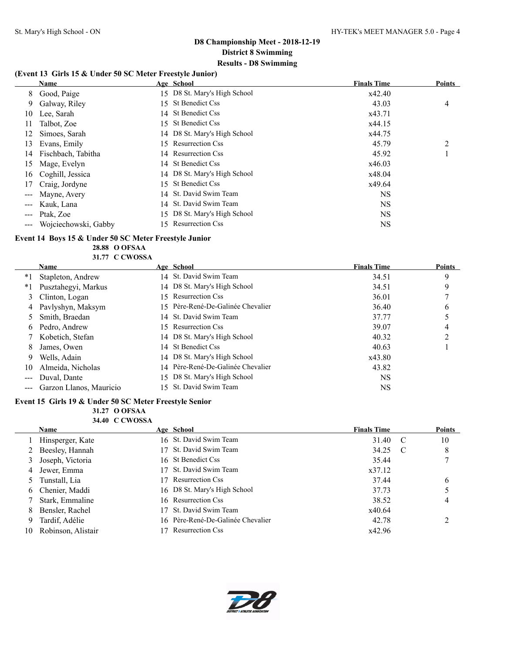#### **(Event 13 Girls 15 & Under 50 SC Meter Freestyle Junior)**

|    | <b>Name</b>          |     | Age School                   | <b>Finals Time</b> | <b>Points</b> |
|----|----------------------|-----|------------------------------|--------------------|---------------|
| 8  | Good, Paige          |     | 15 D8 St. Mary's High School | x42.40             |               |
| 9  | Galway, Riley        | 15. | St Benedict Css              | 43.03              | 4             |
| 10 | Lee, Sarah           |     | 14 St Benedict Css           | x43.71             |               |
| 11 | Talbot, Zoe          | 15. | St Benedict Css              | x44.15             |               |
| 12 | Simoes, Sarah        |     | 14 D8 St. Mary's High School | x44.75             |               |
| 13 | Evans, Emily         | 15. | <b>Resurrection Css</b>      | 45.79              | 2             |
| 14 | Fischbach, Tabitha   |     | 14 Resurrection Css          | 45.92              |               |
| 15 | Mage, Evelyn         |     | 14 St Benedict Css           | x46.03             |               |
| 16 | Coghill, Jessica     |     | 14 D8 St. Mary's High School | x48.04             |               |
| 17 | Craig, Jordyne       | 15  | St Benedict Css              | x49.64             |               |
|    | Mayne, Avery         |     | 14 St. David Swim Team       | <b>NS</b>          |               |
|    | Kauk, Lana           |     | 14 St. David Swim Team       | <b>NS</b>          |               |
|    | Ptak, Zoe            |     | 15 D8 St. Mary's High School | <b>NS</b>          |               |
|    | Wojciechowski, Gabby |     | 15 Resurrection Css          | <b>NS</b>          |               |

#### **Event 14 Boys 15 & Under 50 SC Meter Freestyle Junior**

**28.88 O OFSAA 31.77 C CWOSSA**

|    | <b>Name</b>             |     | Age School                        | <b>Finals Time</b> | <b>Points</b> |
|----|-------------------------|-----|-----------------------------------|--------------------|---------------|
| *1 | Stapleton, Andrew       |     | 14 St. David Swim Team            | 34.51              | 9             |
| *1 | Pusztahegyi, Markus     |     | 14 D8 St. Mary's High School      | 34.51              | 9             |
| 3  | Clinton, Logan          | 15. | <b>Resurrection Css</b>           | 36.01              |               |
|    | 4 Pavlyshyn, Maksym     |     | 15 Père-René-De-Galinée Chevalier | 36.40              | 6             |
|    | Smith, Braedan          |     | 14 St. David Swim Team            | 37.77              |               |
| 6. | Pedro, Andrew           |     | 15 Resurrection Css               | 39.07              | 4             |
|    | 7 Kobetich, Stefan      |     | 14 D8 St. Mary's High School      | 40.32              | ◠             |
| 8  | James, Owen             |     | 14 St Benedict Css                | 40.63              |               |
| 9  | Wells, Adain            |     | 14 D8 St. Mary's High School      | x43.80             |               |
| 10 | Almeida, Nicholas       |     | 14 Père-René-De-Galinée Chevalier | 43.82              |               |
|    | Duval, Dante            |     | 15 D8 St. Mary's High School      | <b>NS</b>          |               |
|    | Garzon Llanos, Mauricio |     | 15 St. David Swim Team            | <b>NS</b>          |               |
|    |                         |     |                                   |                    |               |

#### **Event 15 Girls 19 & Under 50 SC Meter Freestyle Senior**

 $\mathcal{L}_{\mathcal{L}}$ 

#### **31.27 O OFSAA 34.40 C CWOSSA**

|    | <b>Name</b>        | Age School                        | <b>Finals Time</b> |                | <b>Points</b> |
|----|--------------------|-----------------------------------|--------------------|----------------|---------------|
|    | Hinsperger, Kate   | 16 St. David Swim Team            | 31.40              | <sup>-</sup> C | 10            |
|    | 2 Beesley, Hannah  | 17 St. David Swim Team            | 34.25              | C              | 8             |
|    | 3 Joseph, Victoria | 16 St Benedict Css                | 35.44              |                | 7             |
|    | 4 Jewer, Emma      | 17 St. David Swim Team            | x37.12             |                |               |
|    | 5 Tunstall, Lia    | <b>Resurrection Css</b>           | 37.44              |                | 6             |
|    | 6 Chenier, Maddi   | 16 D8 St. Mary's High School      | 37.73              |                |               |
|    | Stark, Emmaline    | 16 Resurrection Css               | 38.52              |                | 4             |
| 8  | Bensler, Rachel    | St. David Swim Team               | x40.64             |                |               |
|    | Tardif, Adélie     | 16 Père-René-De-Galinée Chevalier | 42.78              |                |               |
| 10 | Robinson, Alistair | <b>Resurrection Css</b>           | x42.96             |                |               |

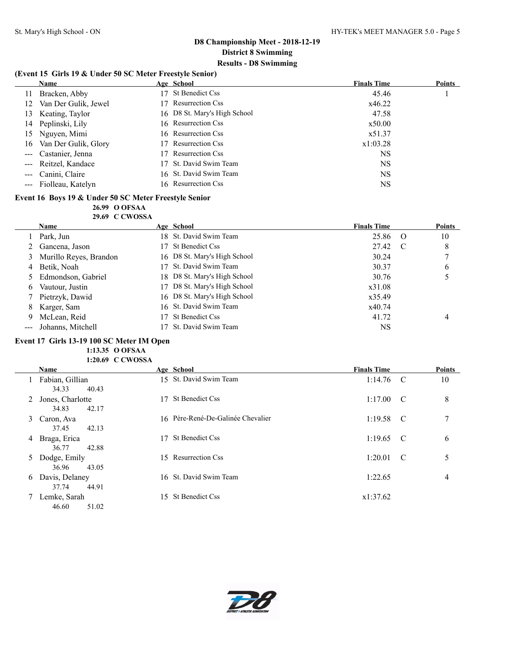#### **(Event 15 Girls 19 & Under 50 SC Meter Freestyle Senior)**

|    | <b>Name</b>           | Age School                     | <b>Finals Time</b> | Points |
|----|-----------------------|--------------------------------|--------------------|--------|
| 11 | Bracken, Abby         | St Benedict Css                | 45.46              |        |
| 12 | Van Der Gulik, Jewel  | <b>Resurrection Css</b><br>17. | x46.22             |        |
| 13 | Keating, Taylor       | 16 D8 St. Mary's High School   | 47.58              |        |
|    | 14 Peplinski, Lily    | 16 Resurrection Css            | x50.00             |        |
| 15 | Nguyen, Mimi          | 16 Resurrection Css            | x51.37             |        |
| 16 | Van Der Gulik, Glory  | <b>Resurrection Css</b>        | x1:03.28           |        |
|    | --- Castanier, Jenna  | <b>Resurrection Css</b>        | <b>NS</b>          |        |
|    | --- Reitzel, Kandace  | 17 St. David Swim Team         | <b>NS</b>          |        |
|    | Canini, Claire        | 16 St. David Swim Team         | <b>NS</b>          |        |
|    | --- Fiolleau, Katelyn | 16 Resurrection Css            | NS                 |        |

#### **Event 16 Boys 19 & Under 50 SC Meter Freestyle Senior**

#### **26.99 O OFSAA**

**29.69 C CWOSSA**

|   | <b>Name</b>            | Age School                   | <b>Finals Time</b> |                | <b>Points</b> |
|---|------------------------|------------------------------|--------------------|----------------|---------------|
|   | Park, Jun              | 18 St. David Swim Team       | 25.86              | - 0            | 10            |
|   | Gancena, Jason         | 17 St Benedict Css           | 27.42              | <sup>-</sup> C | 8             |
| 3 | Murillo Reyes, Brandon | 16 D8 St. Mary's High School | 30.24              |                |               |
| 4 | Betik, Noah            | 17 St. David Swim Team       | 30.37              |                | 6             |
|   | Edmondson, Gabriel     | 18 D8 St. Mary's High School | 30.76              |                |               |
| 6 | Vautour, Justin        | 17 D8 St. Mary's High School | x31.08             |                |               |
|   | 7 Pietrzyk, Dawid      | 16 D8 St. Mary's High School | x35.49             |                |               |
| 8 | Karger, Sam            | 16 St. David Swim Team       | x40.74             |                |               |
| 9 | McLean, Reid           | 17 St Benedict Css           | 41.72              |                | 4             |
|   | Johanns, Mitchell      | 17 St. David Swim Team       | NS                 |                |               |

### **Event 17 Girls 13-19 100 SC Meter IM Open**

**1:13.35 O OFSAA 1:20.69 C CWOSSA**

|   | Name                                 |     | Age School                        | <b>Finals Time</b> |             | <b>Points</b> |
|---|--------------------------------------|-----|-----------------------------------|--------------------|-------------|---------------|
|   | Fabian, Gillian<br>40.43<br>34.33    |     | 15 St. David Swim Team            | $1:14.76$ C        |             | 10            |
|   | 2 Jones, Charlotte<br>42.17<br>34.83 | 17  | <b>St Benedict Css</b>            | 1:17.00            | $\mathbf C$ | 8             |
| 3 | Caron, Ava<br>37.45<br>42.13         |     | 16 Père-René-De-Galinée Chevalier | $1:19.58$ C        |             | π             |
| 4 | Braga, Erica<br>36.77<br>42.88       | 17  | <b>St Benedict Css</b>            | 1:19.65            | $\mathbf C$ | 6             |
|   | 5 Dodge, Emily<br>36.96<br>43.05     |     | 15 Resurrection Css               | 1:20.01            | C           | 5             |
| 6 | Davis, Delaney<br>44.91<br>37.74     |     | 16 St. David Swim Team            | 1:22.65            |             | 4             |
|   | Lemke, Sarah<br>46.60<br>51.02       | 15. | St Benedict Css                   | x1:37.62           |             |               |

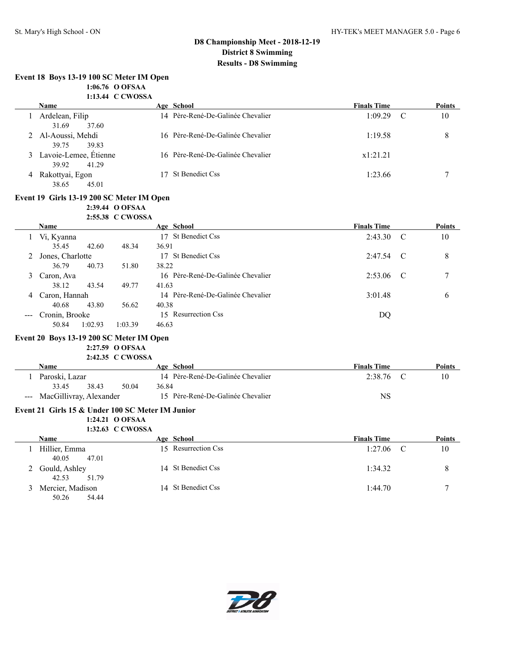50.26 54.44

### **D8 Championship Meet - 2018-12-19 District 8 Swimming Results - D8 Swimming**

|   | Event 18 Boys 13-19 100 SC Meter IM Open                             |                                                |       |                                                 |                    |               |               |
|---|----------------------------------------------------------------------|------------------------------------------------|-------|-------------------------------------------------|--------------------|---------------|---------------|
|   |                                                                      | 1:06.76 O OFSAA                                |       |                                                 |                    |               |               |
|   |                                                                      | 1:13.44 C CWOSSA                               |       |                                                 |                    |               |               |
|   | <b>Name</b>                                                          |                                                |       | Age School<br>14 Père-René-De-Galinée Chevalier | <b>Finals Time</b> | $\mathcal{C}$ | Points        |
|   | 1 Ardelean, Filip<br>31.69<br>37.60                                  |                                                |       |                                                 | 1:09.29            |               | 10            |
|   | 2 Al-Aoussi, Mehdi<br>39.75<br>39.83                                 |                                                |       | 16 Père-René-De-Galinée Chevalier               | 1:19.58            |               | $\,8\,$       |
|   | 3 Lavoie-Lemee, Étienne<br>39.92<br>41.29                            |                                                |       | 16 Père-René-De-Galinée Chevalier               | x1:21.21           |               |               |
|   | 4 Rakottyai, Egon<br>38.65<br>45.01                                  |                                                |       | 17 St Benedict Css                              | 1:23.66            |               | 7             |
|   | Event 19 Girls 13-19 200 SC Meter IM Open                            | 2:39.44 O OFSAA<br>2:55.38 C CWOSSA            |       |                                                 |                    |               |               |
|   | <b>Name</b>                                                          |                                                |       | Age School                                      | <b>Finals Time</b> |               | <b>Points</b> |
|   | 1 Vi, Kyanna<br>35.45<br>42.60                                       | 48.34                                          | 36.91 | 17 St Benedict Css                              | 2:43.30            | C             | 10            |
|   | Jones, Charlotte<br>36.79<br>40.73                                   | 51.80                                          | 38.22 | 17 St Benedict Css                              | 2:47.54            | C             | 8             |
| 3 | Caron, Ava                                                           |                                                |       | 16 Père-René-De-Galinée Chevalier               | 2:53.06            | C             | 7             |
| 4 | 38.12<br>43.54<br>Caron, Hannah                                      | 49.77                                          | 41.63 | 14 Père-René-De-Galinée Chevalier               | 3:01.48            |               | 6             |
|   | 40.68<br>43.80                                                       | 56.62                                          | 40.38 |                                                 |                    |               |               |
|   | --- Cronin, Brooke                                                   |                                                |       | 15 Resurrection Css                             | DQ                 |               |               |
|   | 50.84<br>1:02.93<br>Event 20 Boys 13-19 200 SC Meter IM Open<br>Name | 1:03.39<br>2:27.59 O OFSAA<br>2:42.35 C CWOSSA | 46.63 | Age School                                      | <b>Finals Time</b> |               | Points        |
|   | 1 Paroski, Lazar                                                     |                                                |       | 14 Père-René-De-Galinée Chevalier               | 2:38.76            | $\mathcal{C}$ | 10            |
|   | 33.45<br>38.43                                                       | 50.04                                          | 36.84 |                                                 |                    |               |               |
|   | --- MacGillivray, Alexander                                          |                                                |       | 15 Père-René-De-Galinée Chevalier               | <b>NS</b>          |               |               |
|   | Event 21 Girls 15 & Under 100 SC Meter IM Junior                     |                                                |       |                                                 |                    |               |               |
|   |                                                                      | 1:24.21 O OFSAA                                |       |                                                 |                    |               |               |
|   |                                                                      | 1:32.63 C CWOSSA                               |       |                                                 |                    |               |               |
|   | Name                                                                 |                                                |       | Age School                                      | <b>Finals Time</b> |               | Points        |
|   | 1 Hillier, Emma<br>40.05<br>47.01                                    |                                                |       | 15 Resurrection Css                             | 1:27.06            | $\mathcal{C}$ | 10            |
|   | 2 Gould, Ashley<br>42.53<br>51.79                                    |                                                |       | 14 St Benedict Css                              | 1:34.32            |               | 8             |



3 Mercier, Madison 14 St Benedict Css 1:44.70 11:44.70 7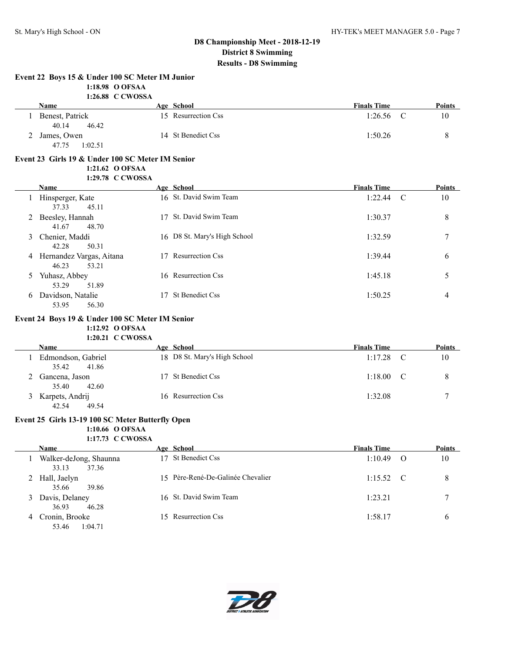|              | Event 22 Boys 15 & Under 100 SC Meter IM Junior<br>1:18.98 O OFSAA<br>1:26.88 C CWOSSA  |                              |                    |          |        |
|--------------|-----------------------------------------------------------------------------------------|------------------------------|--------------------|----------|--------|
|              | Name                                                                                    | Age School                   | <b>Finals Time</b> |          | Points |
|              | 1 Benest, Patrick<br>40.14<br>46.42                                                     | 15 Resurrection Css          | 1:26.56            | C        | 10     |
|              | 2 James, Owen<br>47.75<br>1:02.51                                                       | 14 St Benedict Css           | 1:50.26            |          | 8      |
|              | Event 23 Girls 19 & Under 100 SC Meter IM Senior<br>1:21.62 O OFSAA<br>1:29.78 C CWOSSA |                              |                    |          |        |
|              | <b>Name</b>                                                                             | Age School                   | <b>Finals Time</b> |          | Points |
|              | 1 Hinsperger, Kate<br>37.33<br>45.11                                                    | 16 St. David Swim Team       | 1:22.44            | C        | 10     |
|              | 2 Beesley, Hannah<br>41.67<br>48.70                                                     | 17 St. David Swim Team       | 1:30.37            |          | 8      |
| 3            | Chenier, Maddi<br>42.28<br>50.31                                                        | 16 D8 St. Mary's High School | 1:32.59            |          | 7      |
|              | 4 Hernandez Vargas, Aitana<br>46.23<br>53.21                                            | 17 Resurrection Css          | 1:39.44            |          | 6      |
|              | 5 Yuhasz, Abbey<br>53.29<br>51.89                                                       | 16 Resurrection Css          | 1:45.18            |          | 5      |
|              | 6 Davidson, Natalie<br>53.95<br>56.30                                                   | 17 St Benedict Css           | 1:50.25            |          | 4      |
|              | Event 24 Boys 19 & Under 100 SC Meter IM Senior<br>1:12.92 O OFSAA<br>1:20.21 C CWOSSA  |                              |                    |          |        |
|              | Name                                                                                    | Age School                   | <b>Finals Time</b> |          | Points |
| $\mathbf{1}$ | Edmondson, Gabriel<br>35.42<br>41.86                                                    | 18 D8 St. Mary's High School | 1:17.28            | C        | 10     |
|              | 2 Gancena, Jason<br>35.40<br>42.60                                                      | 17 St Benedict Css           | 1:18.00            | C        | 8      |
|              | 3 Karpets, Andrij<br>42.54<br>49.54                                                     | 16 Resurrection Css          | 1:32.08            |          | 7      |
|              | Event 25 Girls 13-19 100 SC Meter Butterfly Open<br>1:10.66 O OFSAA<br>1:17.73 C CWOSSA |                              |                    |          |        |
|              | <b>Name</b>                                                                             | Age School                   | <b>Finals Time</b> |          | Points |
|              | 1 Walker-deJong Shaunna                                                                 | 17 St Benedict Css           | 1.1049             | $\Omega$ | 10     |

| Walker-deJong, Shaunna                                  | 17 St Benedict Css                | 1:10.49<br>$\Omega$ | 10           |
|---------------------------------------------------------|-----------------------------------|---------------------|--------------|
| 33.13<br>37.36<br>2 Hall, Jaelyn                        | 15 Père-René-De-Galinée Chevalier | $1:15.52$ C         | 8            |
| 35.66<br>39.86<br>Davis, Delaney<br>3<br>36.93<br>46.28 | 16 St. David Swim Team            | 1:23.21             |              |
| Cronin, Brooke<br>-4<br>1:04.71<br>53.46                | 15 Resurrection Css               | 1:58.17             | <sub>0</sub> |

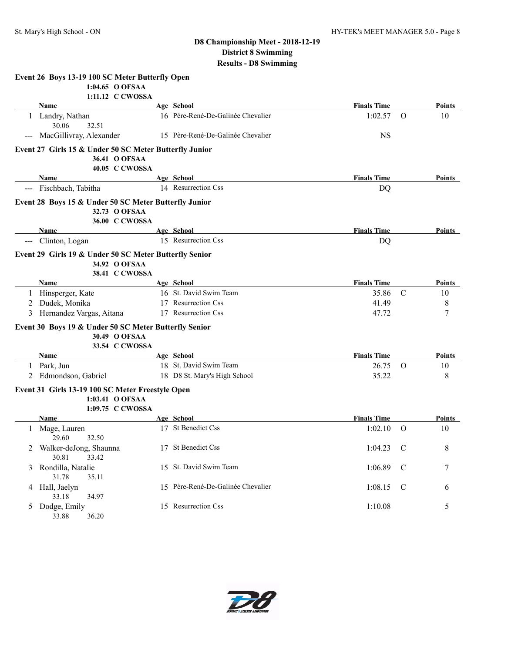|   | Event 26 Boys 13-19 100 SC Meter Butterfly Open                                           |                                   |                    |               |               |
|---|-------------------------------------------------------------------------------------------|-----------------------------------|--------------------|---------------|---------------|
|   | 1:04.65 O OFSAA<br>1:11.12 C CWOSSA                                                       |                                   |                    |               |               |
|   | <b>Name</b>                                                                               | Age School                        | <b>Finals Time</b> |               | Points        |
|   | 1 Landry, Nathan<br>30.06<br>32.51                                                        | 16 Père-René-De-Galinée Chevalier | 1:02.57            | $\Omega$      | 10            |
|   | --- MacGillivray, Alexander                                                               | 15 Père-René-De-Galinée Chevalier | <b>NS</b>          |               |               |
|   | Event 27 Girls 15 & Under 50 SC Meter Butterfly Junior<br>36.41 O OFSAA<br>40.05 C CWOSSA |                                   |                    |               |               |
|   | Name                                                                                      | Age School                        | <b>Finals Time</b> |               | Points        |
|   | --- Fischbach, Tabitha                                                                    | 14 Resurrection Css               | <b>DQ</b>          |               |               |
|   | Event 28 Boys 15 & Under 50 SC Meter Butterfly Junior<br>32.73 O OFSAA<br>36.00 C CWOSSA  |                                   |                    |               |               |
|   | Name                                                                                      | Age School                        | <b>Finals Time</b> |               | Points        |
|   | Clinton, Logan                                                                            | 15 Resurrection Css               | DQ                 |               |               |
|   | Event 29 Girls 19 & Under 50 SC Meter Butterfly Senior<br>34.92 O OFSAA<br>38.41 C CWOSSA |                                   |                    |               |               |
|   | Name                                                                                      | Age School                        | <b>Finals Time</b> |               | <b>Points</b> |
|   | 1 Hinsperger, Kate                                                                        | 16 St. David Swim Team            | 35.86              | C             | 10            |
| 2 | Dudek, Monika                                                                             | 17 Resurrection Css               | 41.49              |               | 8             |
| 3 | Hernandez Vargas, Aitana                                                                  | 17 Resurrection Css               | 47.72              |               | 7             |
|   | Event 30 Boys 19 & Under 50 SC Meter Butterfly Senior<br>30.49 O OFSAA<br>33.54 C CWOSSA  |                                   |                    |               |               |
|   | Name                                                                                      | Age School                        | <b>Finals Time</b> |               | Points        |
|   | 1 Park, Jun                                                                               | 18 St. David Swim Team            | 26.75              | $\Omega$      | 10            |
|   | 2 Edmondson, Gabriel                                                                      | 18 D8 St. Mary's High School      | 35.22              |               | 8             |
|   | Event 31 Girls 13-19 100 SC Meter Freestyle Open<br>1:03.41 O OFSAA<br>1:09.75 C CWOSSA   |                                   |                    |               |               |
|   | Name                                                                                      | Age School                        | <b>Finals Time</b> |               | Points        |
| 1 | Mage, Lauren<br>29.60<br>32.50                                                            | 17 St Benedict Css                | 1:02.10            | O             | 10            |
| 2 | Walker-deJong, Shaunna<br>30.81<br>33.42                                                  | 17 St Benedict Css                | 1:04.23            | $\mathcal{C}$ | 8             |
| 3 | Rondilla, Natalie<br>31.78<br>35.11                                                       | 15 St. David Swim Team            | 1:06.89            | $\mathbf C$   | 7             |
|   | 4 Hall, Jaelyn<br>33.18<br>34.97                                                          | 15 Père-René-De-Galinée Chevalier | 1:08.15            | $\mathcal{C}$ | 6             |
|   | 5 Dodge, Emily<br>33.88<br>36.20                                                          | 15 Resurrection Css               | 1:10.08            |               | 5             |

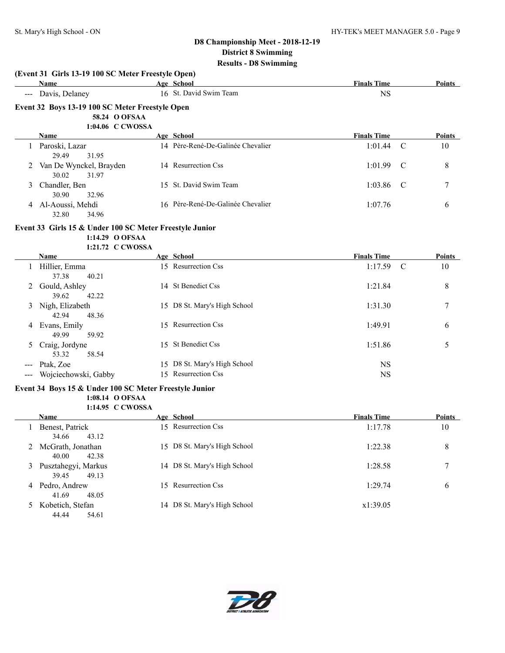|       | Name                                                    | Age School                        | <b>Finals Time</b> | <b>Points</b>       |
|-------|---------------------------------------------------------|-----------------------------------|--------------------|---------------------|
|       | --- Davis, Delaney                                      | 16 St. David Swim Team            | <b>NS</b>          |                     |
|       | Event 32 Boys 13-19 100 SC Meter Freestyle Open         |                                   |                    |                     |
|       | 58.24 O OFSAA                                           |                                   |                    |                     |
|       | 1:04.06 C CWOSSA                                        |                                   |                    |                     |
|       | Name                                                    | Age School                        | <b>Finals Time</b> | <b>Points</b>       |
|       | 1 Paroski, Lazar<br>29.49<br>31.95                      | 14 Père-René-De-Galinée Chevalier | 1:01.44            | $\mathcal{C}$<br>10 |
|       | Van De Wynckel, Brayden<br>30.02<br>31.97               | 14 Resurrection Css               | 1:01.99            | 8<br>C              |
| 3     | Chandler, Ben<br>30.90<br>32.96                         | 15 St. David Swim Team            | 1:03.86            | 7<br>C              |
|       | 4 Al-Aoussi, Mehdi<br>32.80<br>34.96                    | 16 Père-René-De-Galinée Chevalier | 1:07.76            | 6                   |
|       | Event 33 Girls 15 & Under 100 SC Meter Freestyle Junior |                                   |                    |                     |
|       | 1:14.29 O OFSAA<br>1:21.72 C CWOSSA                     |                                   |                    |                     |
|       | Name                                                    | Age School                        | <b>Finals Time</b> | Points              |
|       | 1 Hillier, Emma<br>37.38<br>40.21                       | 15 Resurrection Css               | 1:17.59            | $\mathcal{C}$<br>10 |
|       | 2 Gould, Ashley<br>39.62<br>42.22                       | 14 St Benedict Css                | 1:21.84            | 8                   |
|       | 3 Nigh, Elizabeth<br>42.94<br>48.36                     | 15 D8 St. Mary's High School      | 1:31.30            | 7                   |
|       | 4 Evans, Emily<br>49.99<br>59.92                        | 15 Resurrection Css               | 1:49.91            | 6                   |
| 5     | Craig, Jordyne<br>53.32<br>58.54                        | 15 St Benedict Css                | 1:51.86            | 5                   |
|       | Ptak, Zoe                                               | 15 D8 St. Mary's High School      | <b>NS</b>          |                     |
| $---$ | Wojciechowski, Gabby                                    | 15 Resurrection Css               | <b>NS</b>          |                     |
|       | Event 34 Boys 15 & Under 100 SC Meter Freestyle Junior  |                                   |                    |                     |
|       | 1:08.14 O OFSAA<br>1:14.95 C CWOSSA                     |                                   |                    |                     |
|       | Name                                                    | Age School                        | <b>Finals Time</b> | Points              |
| 1     | Benest, Patrick<br>34.66<br>43.12                       | 15 Resurrection Css               | 1:17.78            | 10                  |
|       | 2 McGrath, Jonathan<br>40.00<br>42.38                   | 15 D8 St. Mary's High School      | 1:22.38            | 8                   |
| 3     | Pusztahegyi, Markus<br>39.45<br>49.13                   | 14 D8 St. Mary's High School      | 1:28.58            | 7                   |
| 4     | Pedro, Andrew<br>41.69<br>48.05                         | 15 Resurrection Css               | 1:29.74            | 6                   |
| 5     | Kobetich, Stefan<br>44.44<br>54.61                      | 14 D8 St. Mary's High School      | x1:39.05           |                     |

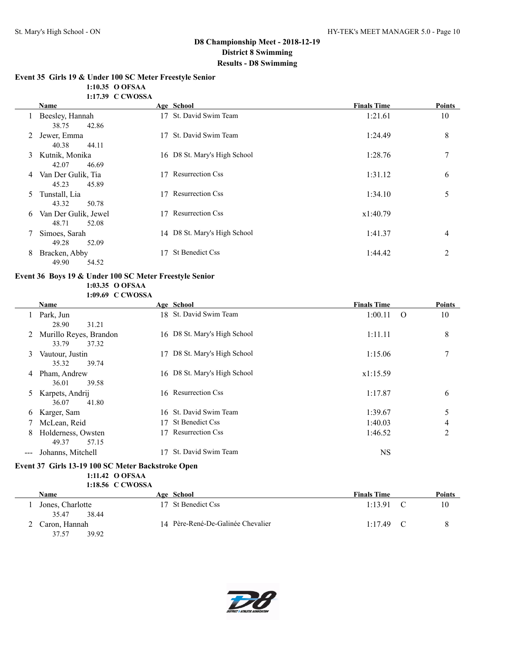### **Event 35 Girls 19 & Under 100 SC Meter Freestyle Senior**

**1:10.35 O OFSAA**

|   | 1:17.39 C CWOSSA                       |                       |                              |                    |                |
|---|----------------------------------------|-----------------------|------------------------------|--------------------|----------------|
|   | Name                                   | Age School            |                              | <b>Finals Time</b> | <b>Points</b>  |
|   | Beesley, Hannah<br>42.86<br>38.75      |                       | 17 St. David Swim Team       | 1:21.61            | 10             |
| 2 | Jewer, Emma<br>40.38<br>44.11          | 17                    | St. David Swim Team          | 1:24.49            | 8              |
|   | 3 Kutnik, Monika<br>42.07<br>46.69     |                       | 16 D8 St. Mary's High School | 1:28.76            | 7              |
| 4 | Van Der Gulik, Tia<br>45.23<br>45.89   | 17 Resurrection Css   |                              | 1:31.12            | 6              |
| 5 | Tunstall, Lia<br>43.32<br>50.78        | 17                    | <b>Resurrection Css</b>      | 1:34.10            | 5              |
| 6 | Van Der Gulik, Jewel<br>48.71<br>52.08 | 17                    | <b>Resurrection Css</b>      | x1:40.79           |                |
|   | Simoes, Sarah<br>49.28<br>52.09        |                       | 14 D8 St. Mary's High School | 1:41.37            | $\overline{4}$ |
| 8 | Bracken, Abby<br>49.90<br>54.52        | St Benedict Css<br>17 |                              | 1:44.42            | 2              |

#### **Event 36 Boys 19 & Under 100 SC Meter Freestyle Senior 1:03.35 O OFSAA**

**1:09.69 C CWOSSA**

|       | <b>Name</b>              |    | Age School                   | <b>Finals Time</b> | <b>Points</b>  |
|-------|--------------------------|----|------------------------------|--------------------|----------------|
|       | Park, Jun                |    | 18 St. David Swim Team       | 1:00.11            | 10<br>$\Omega$ |
|       | 31.21<br>28.90           |    |                              |                    |                |
|       | 2 Murillo Reyes, Brandon |    | 16 D8 St. Mary's High School | 1:11.11            | 8              |
|       | 33.79<br>37.32           |    |                              |                    |                |
| 3     | Vautour, Justin          | 17 | D8 St. Mary's High School    | 1:15.06            | 7              |
|       | 35.32<br>39.74           |    |                              |                    |                |
| 4     | Pham, Andrew             |    | 16 D8 St. Mary's High School | x1:15.59           |                |
|       | 39.58<br>36.01           |    |                              |                    |                |
| 5.    | Karpets, Andrij          |    | 16 Resurrection Css          | 1:17.87            | 6              |
|       | 36.07<br>41.80           |    |                              |                    |                |
| 6     | Karger, Sam              |    | 16 St. David Swim Team       | 1:39.67            | 5              |
|       | McLean, Reid             | 17 | St Benedict Css              | 1:40.03            | 4              |
| 8     | Holderness, Owsten       | 17 | <b>Resurrection Css</b>      | 1:46.52            | 2              |
|       | 49.37<br>57.15           |    |                              |                    |                |
| $---$ | Johanns, Mitchell        | 17 | St. David Swim Team          | <b>NS</b>          |                |

#### **Event 37 Girls 13-19 100 SC Meter Backstroke Open 1:11.42 O OFSAA 1:18.56 C CWOSSA**

| <b>Name</b>      | Age School                        | <b>Finals Time</b> | Points |
|------------------|-----------------------------------|--------------------|--------|
| Jones, Charlotte | 17 St Benedict Css                | 1:13.91            | 10     |
| 35.47<br>38.44   |                                   |                    |        |
| Caron, Hannah    | 14 Père-René-De-Galinée Chevalier | 1:17.49            | 8      |
| 39.92<br>37.57   |                                   |                    |        |

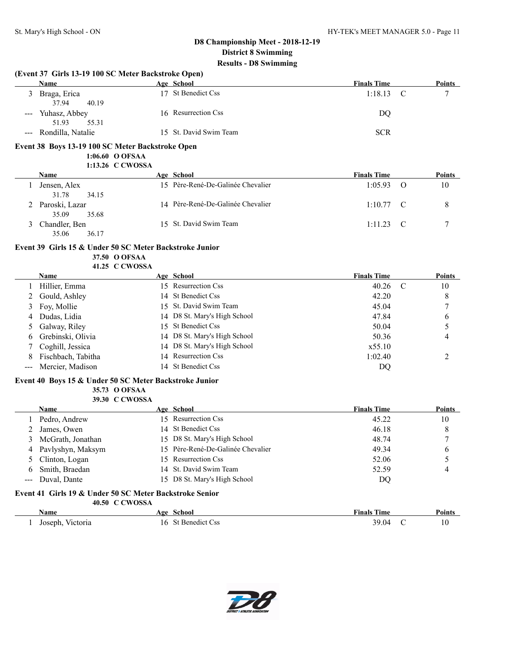**(Event 37 Girls 13-19 100 SC Meter Backstroke Open)**

#### **D8 Championship Meet - 2018-12-19 District 8 Swimming Results - D8 Swimming**

**Name Age School Finals Time Points** 3 Braga, Erica 17 St Benedict Css 1:18.13 C 7

### 37.94 40.19 --- Yuhasz, Abbey 16 Resurrection Css DQ 51.93 55.31 --- Rondilla, Natalie 15 St. David Swim Team SCR **Event 38 Boys 13-19 100 SC Meter Backstroke Open 1:06.60 O OFSAA 1:13.26 C CWOSSA Name Age School Finals Time Points** 1 Jensen, Alex 15 Père-René-De-Galinée Chevalier 1:05.93 O 10 31.78 34.15 2 Paroski, Lazar 14 Père-René-De-Galinée Chevalier 1:10.77 C 8 35.09 35.68 3 Chandler, Ben 15 St. David Swim Team 1:11.23 C 7 35.06 36.17 **Event 39 Girls 15 & Under 50 SC Meter Backstroke Junior 37.50 O OFSAA 41.25 C CWOSSA Name Age School Finals Time Points** 1 Hillier, Emma 15 Resurrection Css 40.26 C 10 2 Gould, Ashley 14 St Benedict Css 42.20 8 3 Foy, Mollie 15 St. David Swim Team 45.04 7 4 Dudas, Lidia 14 D8 St. Mary's High School 47.84 6 5 Galway, Riley 15 St Benedict Css 50.04 5 6 Grebinski, Olivia 14 D8 St. Mary's High School 50.36 4 7 Coghill, Jessica 14 D8 St. Mary's High School x55.10 8 Fischbach, Tabitha 14 Resurrection Css 1:02.40 2 --- Mercier, Madison 14 St Benedict Css DQ **Event 40 Boys 15 & Under 50 SC Meter Backstroke Junior 35.73 O OFSAA 39.30 C CWOSSA Name Age School Finals Time Points** 1 Pedro, Andrew 15 Resurrection Css 45.22 10 2 James, Owen 14 St Benedict Css 46.18 8 3 McGrath, Jonathan 15 D8 St. Mary's High School 48.74 7 4 Pavlyshyn, Maksym 15 Père-René-De-Galinée Chevalier 49.34 6 5 Clinton, Logan 15 Resurrection Css 52.06 5 6 Smith, Braedan 14 St. David Swim Team 52.59 4 --- Duval, Dante 15 D8 St. Mary's High School DQ **Event 41 Girls 19 & Under 50 SC Meter Backstroke Senior 40.50 C CWOSSA**

**Name Age School Finals Time Points** 1 Joseph, Victoria 16 St Benedict Css 39.04 C 10

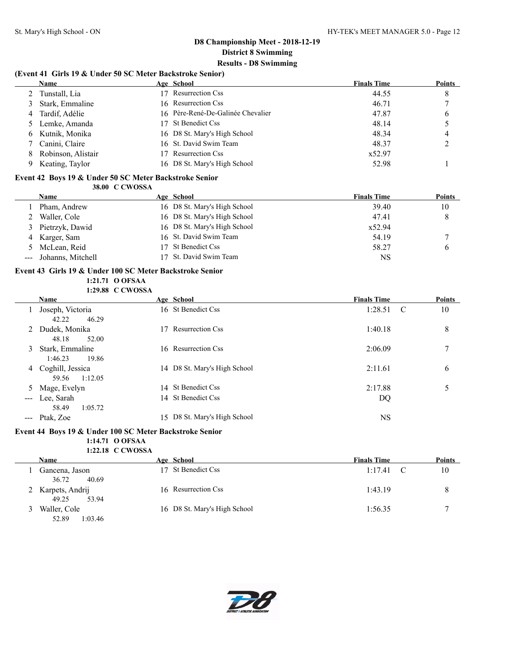$\overline{a}$ 

### **D8 Championship Meet - 2018-12-19 District 8 Swimming Results - D8 Swimming**

#### **(Event 41 Girls 19 & Under 50 SC Meter Backstroke Senior)**

|    | Name               | Age School                        | <b>Finals Time</b> | <b>Points</b> |
|----|--------------------|-----------------------------------|--------------------|---------------|
|    | Tunstall, Lia      | <b>Resurrection Css</b>           | 44.55              | 8             |
|    | Stark, Emmaline    | 16 Resurrection Css               | 46.71              |               |
|    | Tardif, Adélie     | 16 Père-René-De-Galinée Chevalier | 47.87              | 6             |
|    | Lemke, Amanda      | 17 St Benedict Css                | 48.14              |               |
| 6. | Kutnik, Monika     | 16 D8 St. Mary's High School      | 48.34              | 4             |
|    | Canini, Claire     | 16 St. David Swim Team            | 48.37              |               |
|    | Robinson, Alistair | <b>Resurrection Css</b>           | x52.97             |               |
|    | Keating, Taylor    | 16 D8 St. Mary's High School      | 52.98              |               |

#### **Event 42 Boys 19 & Under 50 SC Meter Backstroke Senior 38.00 C CWOSSA**

| <b>Name</b>           | Age School                   | <b>Finals Time</b> | Points |
|-----------------------|------------------------------|--------------------|--------|
| Pham, Andrew          | 16 D8 St. Mary's High School | 39.40              | 10     |
| Waller, Cole          | 16 D8 St. Mary's High School | 47.41              | 8      |
| 3 Pietrzyk, Dawid     | 16 D8 St. Mary's High School | x52.94             |        |
| 4 Karger, Sam         | 16 St. David Swim Team       | 54.19              |        |
| 5 McLean, Reid        | 17 St Benedict Css           | 58.27              | b      |
| --- Johanns, Mitchell | 17 St. David Swim Team       | NS                 |        |

#### **Event 43 Girls 19 & Under 100 SC Meter Backstroke Senior 1:21.71 O OFSAA 1:29.88 C CWOSSA**

|                      | <b>Name</b>                                              | Age School                   | <b>Finals Time</b> | <b>Points</b> |
|----------------------|----------------------------------------------------------|------------------------------|--------------------|---------------|
|                      | Joseph, Victoria<br>46.29<br>42.22                       | 16 St Benedict Css           | 1:28.51            | 10<br>- C     |
| 2                    | Dudek, Monika<br>48.18<br>52.00                          | 17 Resurrection Css          | 1:40.18            | 8             |
| 3                    | Stark, Emmaline                                          | 16 Resurrection Css          | 2:06.09            | 7             |
| 4                    | 1:46.23<br>19.86<br>Coghill, Jessica<br>1:12.05<br>59.56 | 14 D8 St. Mary's High School | 2:11.61            | 6             |
| 5                    | Mage, Evelyn                                             | 14 St Benedict Css           | 2:17.88            | 5             |
| $\sim$ $\sim$ $\sim$ | Lee, Sarah                                               | 14 St Benedict Css           | DQ                 |               |
|                      | 58.49<br>1:05.72                                         |                              |                    |               |
|                      | --- Ptak, Zoe                                            | 15 D8 St. Mary's High School | NS                 |               |

#### **Event 44 Boys 19 & Under 100 SC Meter Backstroke Senior**

#### **1:14.71 O OFSAA 1:22.18 C CWOSSA**

| 1:22.18 UUWU55A                     |                              |                    |               |
|-------------------------------------|------------------------------|--------------------|---------------|
| <b>Name</b>                         | Age School                   | <b>Finals Time</b> | <b>Points</b> |
| Gancena, Jason<br>40.69<br>36.72    | St Benedict Css              | 1:17.41            | 10            |
| 2 Karpets, Andrij<br>49.25<br>53.94 | 16 Resurrection Css          | 1:43.19            |               |
| Waller, Cole                        | 16 D8 St. Mary's High School | 1:56.35            |               |



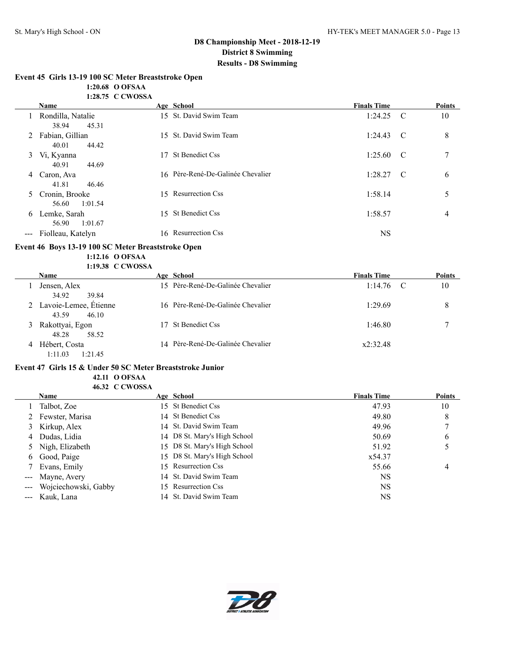#### **Event 45 Girls 13-19 100 SC Meter Breaststroke Open**

**1:20.68 O OFSAA**

|       |                                      | 1:28.75 C CWOSSA |                                   |                    |               |
|-------|--------------------------------------|------------------|-----------------------------------|--------------------|---------------|
|       | <b>Name</b>                          |                  | Age School                        | <b>Finals Time</b> | <b>Points</b> |
|       | Rondilla, Natalie<br>45.31<br>38.94  |                  | 15 St. David Swim Team            | $1:24.25$ C        | 10            |
| 2     | Fabian, Gillian<br>40.01<br>44.42    |                  | 15 St. David Swim Team            | $1:24.43$ C        | 8             |
| 3     | Vi, Kyanna<br>40.91<br>44.69         | 17               | St Benedict Css                   | $1:25.60$ C        | $\mathcal{I}$ |
| 4     | Caron, Ava<br>41.81<br>46.46         |                  | 16 Père-René-De-Galinée Chevalier | $1:28.27$ C        | 6             |
|       | 5 Cronin, Brooke<br>1:01.54<br>56.60 |                  | 15 Resurrection Css               | 1:58.14            | 5             |
| 6     | Lemke, Sarah<br>56.90<br>1:01.67     | 15               | St Benedict Css                   | 1:58.57            | 4             |
| $---$ | Fiolleau, Katelyn                    |                  | 16 Resurrection Css               | <b>NS</b>          |               |

#### **Event 46 Boys 13-19 100 SC Meter Breaststroke Open 1:12.16 O OFSAA**

**1:19.38 C CWOSSA**

|   | <b>Name</b>                               | Age School                        | <b>Finals Time</b> | <b>Points</b> |
|---|-------------------------------------------|-----------------------------------|--------------------|---------------|
|   | Jensen, Alex<br>34.92<br>39.84            | 15 Père-René-De-Galinée Chevalier | 1:14.76            | 10            |
|   | 2 Lavoie-Lemee, Étienne<br>43.59<br>46.10 | 16 Père-René-De-Galinée Chevalier | 1:29.69            | 8             |
| 3 | Rakottyai, Egon<br>58.52<br>48.28         | 17 St Benedict Css                | 1:46.80            |               |
| 4 | Hébert, Costa<br>1:11.03<br>1:21.45       | 14 Père-René-De-Galinée Chevalier | x2:32.48           |               |

#### **Event 47 Girls 15 & Under 50 SC Meter Breaststroke Junior 42.11 O OFSAA 46.32 C CWOSSA**

| <b>Name</b>              | Age School                   | <b>Finals Time</b> | <b>Points</b> |
|--------------------------|------------------------------|--------------------|---------------|
| Talbot, Zoe              | 15 St Benedict Css           | 47.93              | 10            |
| 2 Fewster, Marisa        | 14 St Benedict Css           | 49.80              | 8             |
| 3 Kirkup, Alex           | 14 St. David Swim Team       | 49.96              |               |
| 4 Dudas, Lidia           | 14 D8 St. Mary's High School | 50.69              | 6             |
| 5 Nigh, Elizabeth        | 15 D8 St. Mary's High School | 51.92              |               |
| 6 Good, Paige            | 15 D8 St. Mary's High School | x54.37             |               |
| 7 Evans, Emily           | 15 Resurrection Css          | 55.66              | 4             |
| --- Mayne, Avery         | 14 St. David Swim Team       | <b>NS</b>          |               |
| --- Wojciechowski, Gabby | 15 Resurrection Css          | <b>NS</b>          |               |
| --- Kauk, Lana           | 14 St. David Swim Team       | NS                 |               |

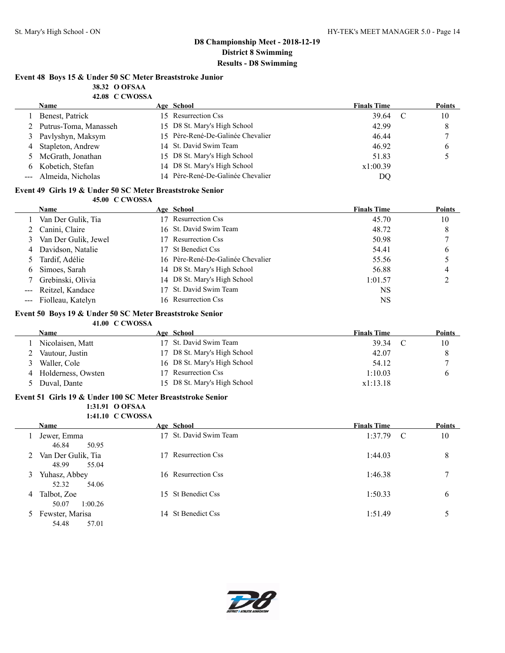### **Event 48 Boys 15 & Under 50 SC Meter Breaststroke Junior**

**38.32 O OFSAA 42.08 C CWOSSA**

|   | <b>TAU CURUSA</b>       |                                   |                    |   |               |
|---|-------------------------|-----------------------------------|--------------------|---|---------------|
|   | <b>Name</b>             | Age School                        | <b>Finals Time</b> |   | <b>Points</b> |
|   | Benest, Patrick         | 15 Resurrection Css               | 39.64              | C | 10            |
|   | 2 Putrus-Toma, Manasseh | 15 D8 St. Mary's High School      | 42.99              |   | 8             |
|   | 3 Pavlyshyn, Maksym     | 15 Père-René-De-Galinée Chevalier | 46.44              |   |               |
| 4 | Stapleton, Andrew       | 14 St. David Swim Team            | 46.92              |   | <sub>b</sub>  |
|   | 5 McGrath, Jonathan     | 15 D8 St. Mary's High School      | 51.83              |   |               |
| 6 | Kobetich, Stefan        | 14 D8 St. Mary's High School      | x1:00.39           |   |               |
|   | Almeida, Nicholas       | 14 Père-René-De-Galinée Chevalier | DQ                 |   |               |
|   |                         |                                   |                    |   |               |

#### **Event 49 Girls 19 & Under 50 SC Meter Breaststroke Senior 45.00 C CWOSSA**

|   | Name                  | Age School                        | <b>Finals Time</b> | <b>Points</b> |
|---|-----------------------|-----------------------------------|--------------------|---------------|
|   | 1 Van Der Gulik, Tia  | 17 Resurrection Css               | 45.70              | 10            |
|   | Canini, Claire        | 16 St. David Swim Team            | 48.72              | 8             |
| 3 | Van Der Gulik, Jewel  | 17 Resurrection Css               | 50.98              |               |
| 4 | Davidson, Natalie     | 17 St Benedict Css                | 54.41              | 6             |
|   | Tardif, Adélie        | 16 Père-René-De-Galinée Chevalier | 55.56              |               |
| 6 | Simoes, Sarah         | 14 D8 St. Mary's High School      | 56.88              | 4             |
|   | Grebinski, Olivia     | 14 D8 St. Mary's High School      | 1:01.57            |               |
|   | Reitzel, Kandace      | 17 St. David Swim Team            | NS                 |               |
|   | --- Fiolleau, Katelyn | 16 Resurrection Css               | <b>NS</b>          |               |

#### **Event 50 Boys 19 & Under 50 SC Meter Breaststroke Senior**

**41.00 C CWOSSA**

| Name                 | Age School                   | <b>Finals Time</b> | <b>Points</b> |
|----------------------|------------------------------|--------------------|---------------|
| Nicolaisen, Matt     | 17 St. David Swim Team       | 39.34              | 10            |
| Vautour, Justin      | 17 D8 St. Mary's High School | 42.07              | 8             |
| Waller. Cole         | 16 D8 St. Mary's High School | 54.12              |               |
| 4 Holderness, Owsten | 17 Resurrection Css          | 1:10.03            |               |
| Duval, Dante         | 15 D8 St. Mary's High School | x1:13.18           |               |

#### **Event 51 Girls 19 & Under 100 SC Meter Breaststroke Senior**

**1:31.91 O OFSAA 1:41.10 C CWOSSA**

|               |                    | $\cdots$ |                     |                    |               |
|---------------|--------------------|----------|---------------------|--------------------|---------------|
|               | <b>Name</b>        |          | Age School          | <b>Finals Time</b> | <b>Points</b> |
|               | Jewer, Emma        |          | St. David Swim Team | 1:37.79            | 10<br>C       |
|               | 46.84<br>50.95     |          |                     |                    |               |
| 2             | Van Der Gulik, Tia |          | Resurrection Css    | 1:44.03            | 8             |
|               | 48.99<br>55.04     |          |                     |                    |               |
| 3.            | Yuhasz, Abbey      |          | 16 Resurrection Css | 1:46.38            | 7             |
|               | 52.32<br>54.06     |          |                     |                    |               |
| 4             | Talbot, Zoe        |          | 15 St Benedict Css  | 1:50.33            | 6             |
|               | 50.07<br>1:00.26   |          |                     |                    |               |
| $\mathcal{L}$ | Fewster, Marisa    |          | 14 St Benedict Css  | 1:51.49            |               |
|               | 54.48<br>57.01     |          |                     |                    |               |

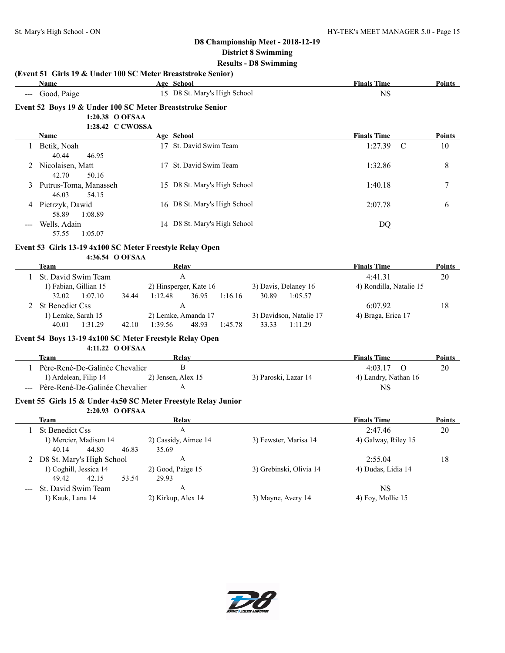**(Event 51 Girls 19 & Under 100 SC Meter Breaststroke Senior)**

|         | Name                                                                              |         | Age School                                 |                                             | <b>Finals Time</b>      | Points        |
|---------|-----------------------------------------------------------------------------------|---------|--------------------------------------------|---------------------------------------------|-------------------------|---------------|
|         | Good, Paige                                                                       |         | 15 D8 St. Mary's High School               |                                             | <b>NS</b>               |               |
|         | Event 52 Boys 19 & Under 100 SC Meter Breaststroke Senior                         |         |                                            |                                             |                         |               |
|         | 1:20.38 O OFSAA                                                                   |         |                                            |                                             |                         |               |
|         | 1:28.42 C CWOSSA                                                                  |         |                                            |                                             |                         |               |
|         | Name                                                                              |         | Age School                                 |                                             | <b>Finals Time</b>      | Points        |
|         | 1 Betik, Noah<br>40.44<br>46.95                                                   |         | 17 St. David Swim Team                     |                                             | 1:27.39<br>C            | 10            |
|         | 2 Nicolaisen, Matt<br>42.70<br>50.16                                              |         | 17 St. David Swim Team                     |                                             | 1:32.86                 | 8             |
|         | Putrus-Toma, Manasseh<br>46.03<br>54.15                                           |         | 15 D8 St. Mary's High School               |                                             | 1:40.18                 | 7             |
|         | 4 Pietrzyk, Dawid<br>58.89<br>1:08.89                                             |         | 16 D8 St. Mary's High School               |                                             | 2:07.78                 | 6             |
|         | Wells, Adain<br>57.55<br>1:05.07                                                  |         | 14 D8 St. Mary's High School               |                                             | DQ                      |               |
|         | Event 53 Girls 13-19 4x100 SC Meter Freestyle Relay Open<br>4:36.54 O OFSAA       |         |                                            |                                             |                         |               |
|         | <b>Team</b>                                                                       |         | Relay                                      |                                             | <b>Finals Time</b>      | Points        |
|         | 1 St. David Swim Team                                                             |         | $\mathbf{A}$                               |                                             | 4:41.31                 | 20            |
|         | 1) Fabian, Gillian 15<br>32.02<br>1:07.10<br>34.44                                | 1:12.48 | 2) Hinsperger, Kate 16<br>36.95<br>1:16.16 | 3) Davis, Delaney 16<br>30.89<br>1:05.57    | 4) Rondilla, Natalie 15 |               |
| $2^{1}$ | <b>St Benedict Css</b>                                                            |         | $\mathbf{A}$                               |                                             | 6:07.92                 | 18            |
|         | 1) Lemke, Sarah 15<br>40.01<br>1:31.29<br>42.10                                   | 1:39.56 | 2) Lemke, Amanda 17<br>48.93<br>1:45.78    | 3) Davidson, Natalie 17<br>33.33<br>1:11.29 | 4) Braga, Erica 17      |               |
|         | Event 54 Boys 13-19 4x100 SC Meter Freestyle Relay Open<br>4:11.22 O OFSAA        |         |                                            |                                             |                         |               |
|         | <b>Team</b>                                                                       |         | <b>Relay</b>                               |                                             | <b>Finals Time</b>      | <b>Points</b> |
|         | 1 Père-René-De-Galinée Chevalier                                                  |         | B                                          |                                             | 4:03.17<br>$\Omega$     | 20            |
|         | 1) Ardelean, Filip 14                                                             |         | 2) Jensen, Alex 15                         | 3) Paroski, Lazar 14                        | 4) Landry, Nathan 16    |               |
|         | --- Père-René-De-Galinée Chevalier                                                |         | A                                          |                                             | <b>NS</b>               |               |
|         | Event 55 Girls 15 & Under 4x50 SC Meter Freestyle Relay Junior<br>2:20.93 O OFSAA |         |                                            |                                             |                         |               |
|         | <b>Team</b>                                                                       |         | <b>Relay</b>                               |                                             | <b>Finals Time</b>      | Points        |
| 1       | <b>St Benedict Css</b>                                                            |         | $\mathbf{A}$                               |                                             | 2:47.46                 | 20            |
|         | 1) Mercier, Madison 14<br>40.14 44.80 46.83 35.69                                 |         | 2) Cassidy, Aimee 14                       | 3) Fewster, Marisa 14                       | 4) Galway, Riley 15     |               |
|         | 2 D8 St. Mary's High School                                                       |         | A                                          |                                             | 2:55.04                 | 18            |
|         | 1) Coghill, Jessica 14<br>42.15<br>49.42<br>53.54                                 | 29.93   | 2) Good, Paige 15                          | 3) Grebinski, Olivia 14                     | 4) Dudas, Lidia 14      |               |
|         | St. David Swim Team                                                               |         | A                                          |                                             | <b>NS</b>               |               |
|         | 1) Kauk, Lana 14                                                                  |         | 2) Kirkup, Alex 14                         | 3) Mayne, Avery 14                          | 4) Foy, Mollie 15       |               |